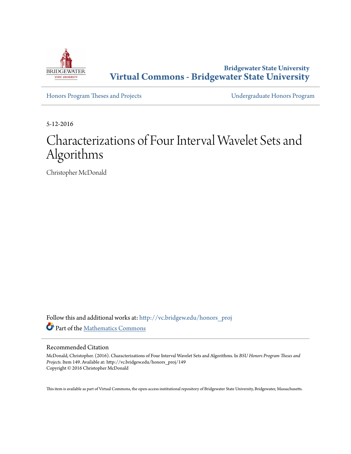

**Bridgewater State University [Virtual Commons - Bridgewater State University](http://vc.bridgew.edu?utm_source=vc.bridgew.edu%2Fhonors_proj%2F149&utm_medium=PDF&utm_campaign=PDFCoverPages)**

[Honors Program Theses and Projects](http://vc.bridgew.edu/honors_proj?utm_source=vc.bridgew.edu%2Fhonors_proj%2F149&utm_medium=PDF&utm_campaign=PDFCoverPages) [Undergraduate Honors Program](http://vc.bridgew.edu/honors?utm_source=vc.bridgew.edu%2Fhonors_proj%2F149&utm_medium=PDF&utm_campaign=PDFCoverPages)

5-12-2016

## Characterizations of Four Interval Wavelet Sets and Algorithms

Christopher McDonald

Follow this and additional works at: [http://vc.bridgew.edu/honors\\_proj](http://vc.bridgew.edu/honors_proj?utm_source=vc.bridgew.edu%2Fhonors_proj%2F149&utm_medium=PDF&utm_campaign=PDFCoverPages) Part of the [Mathematics Commons](http://network.bepress.com/hgg/discipline/174?utm_source=vc.bridgew.edu%2Fhonors_proj%2F149&utm_medium=PDF&utm_campaign=PDFCoverPages)

#### Recommended Citation

McDonald, Christopher. (2016). Characterizations of Four Interval Wavelet Sets and Algorithms. In *BSU Honors Program Theses and Projects.* Item 149. Available at: http://vc.bridgew.edu/honors\_proj/149 Copyright © 2016 Christopher McDonald

This item is available as part of Virtual Commons, the open-access institutional repository of Bridgewater State University, Bridgewater, Massachusetts.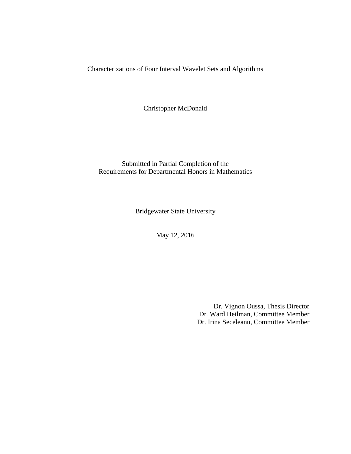Characterizations of Four Interval Wavelet Sets and Algorithms

Christopher McDonald

Submitted in Partial Completion of the Requirements for Departmental Honors in Mathematics

Bridgewater State University

May 12, 2016

Dr. Vignon Oussa, Thesis Director Dr. Ward Heilman, Committee Member Dr. Irina Seceleanu, Committee Member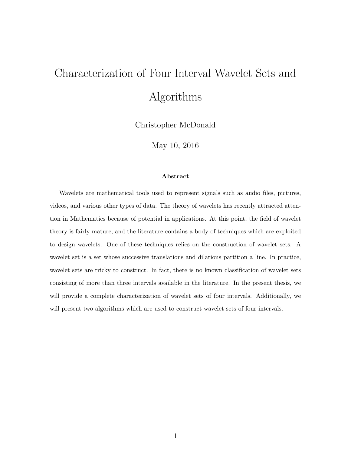# Characterization of Four Interval Wavelet Sets and Algorithms

Christopher McDonald

May 10, 2016

#### Abstract

Wavelets are mathematical tools used to represent signals such as audio files, pictures, videos, and various other types of data. The theory of wavelets has recently attracted attention in Mathematics because of potential in applications. At this point, the field of wavelet theory is fairly mature, and the literature contains a body of techniques which are exploited to design wavelets. One of these techniques relies on the construction of wavelet sets. A wavelet set is a set whose successive translations and dilations partition a line. In practice, wavelet sets are tricky to construct. In fact, there is no known classification of wavelet sets consisting of more than three intervals available in the literature. In the present thesis, we will provide a complete characterization of wavelet sets of four intervals. Additionally, we will present two algorithms which are used to construct wavelet sets of four intervals.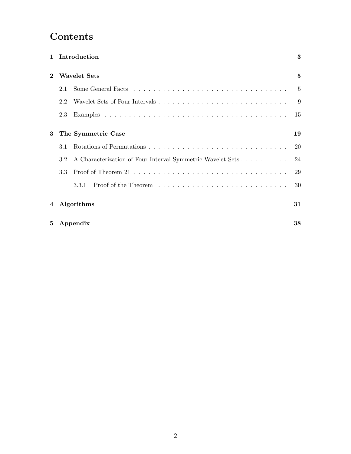## Contents

|              |     | 1 Introduction                                             | 3  |  |  |  |  |  |  |
|--------------|-----|------------------------------------------------------------|----|--|--|--|--|--|--|
| $\mathbf 2$  |     | <b>Wavelet Sets</b>                                        | 5  |  |  |  |  |  |  |
|              | 2.1 |                                                            | 5  |  |  |  |  |  |  |
|              | 2.2 |                                                            | 9  |  |  |  |  |  |  |
|              | 2.3 |                                                            | 15 |  |  |  |  |  |  |
| 3            |     | The Symmetric Case                                         | 19 |  |  |  |  |  |  |
|              | 3.1 |                                                            | 20 |  |  |  |  |  |  |
|              | 3.2 | A Characterization of Four Interval Symmetric Wavelet Sets | 24 |  |  |  |  |  |  |
|              | 3.3 |                                                            | 29 |  |  |  |  |  |  |
|              |     | 3.3.1                                                      | 30 |  |  |  |  |  |  |
| 4 Algorithms |     |                                                            |    |  |  |  |  |  |  |
| 5            |     | Appendix                                                   | 38 |  |  |  |  |  |  |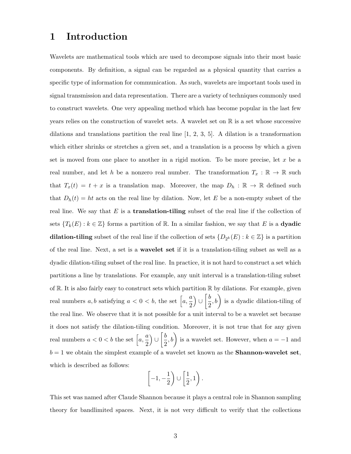## 1 Introduction

Wavelets are mathematical tools which are used to decompose signals into their most basic components. By definition, a signal can be regarded as a physical quantity that carries a specific type of information for communication. As such, wavelets are important tools used in signal transmission and data representation. There are a variety of techniques commonly used to construct wavelets. One very appealing method which has become popular in the last few years relies on the construction of wavelet sets. A wavelet set on  $\mathbb R$  is a set whose successive dilations and translations partition the real line  $[1, 2, 3, 5]$ . A dilation is a transformation which either shrinks or stretches a given set, and a translation is a process by which a given set is moved from one place to another in a rigid motion. To be more precise, let  $x$  be a real number, and let h be a nonzero real number. The transformation  $T_x : \mathbb{R} \to \mathbb{R}$  such that  $T_x(t) = t + x$  is a translation map. Moreover, the map  $D_h : \mathbb{R} \to \mathbb{R}$  defined such that  $D_h(t) = ht$  acts on the real line by dilation. Now, let E be a non-empty subset of the real line. We say that  $E$  is a **translation-tiling** subset of the real line if the collection of sets  $\{T_k(E): k \in \mathbb{Z}\}\$  forms a partition of R. In a similar fashion, we say that E is a **dyadic** dilation-tiling subset of the real line if the collection of sets  $\{D_{2^k}(E) : k \in \mathbb{Z}\}\)$  is a partition of the real line. Next, a set is a wavelet set if it is a translation-tiling subset as well as a dyadic dilation-tiling subset of the real line. In practice, it is not hard to construct a set which partitions a line by translations. For example, any unit interval is a translation-tiling subset of  $\mathbb R$ . It is also fairly easy to construct sets which partition  $\mathbb R$  by dilations. For example, given real numbers  $a, b$  satisfying  $a < 0 < b$ , the set  $\left[a, \frac{a}{2}\right]$ 2  $\bigcup$  ∪  $\left[\frac{b}{2}\right]$  $(\frac{b}{2}, b)$  is a dyadic dilation-tiling of the real line. We observe that it is not possible for a unit interval to be a wavelet set because it does not satisfy the dilation-tiling condition. Moreover, it is not true that for any given real numbers  $a < 0 < b$  the set  $\left[a, \frac{a}{a}\right]$ 2  $\bigcup$   $\bigcup$   $\frac{b}{2}$  $(\frac{b}{2}, b)$  is a wavelet set. However, when  $a = -1$  and  $b = 1$  we obtain the simplest example of a wavelet set known as the **Shannon-wavelet set**, which is described as follows:

$$
\left[-1, -\frac{1}{2}\right) \cup \left[\frac{1}{2}, 1\right).
$$

This set was named after Claude Shannon because it plays a central role in Shannon sampling theory for bandlimited spaces. Next, it is not very difficult to verify that the collections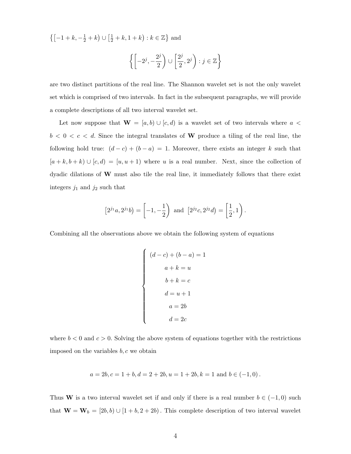$\left\{ \left[ -1 + k, -\frac{1}{2} + k \right) \cup \left[ \frac{1}{2} + k, 1 + k \right) : k \in \mathbb{Z} \right\}$  and

$$
\left\{ \left[ -2^j, -\frac{2^j}{2} \right) \cup \left[ \frac{2^j}{2}, 2^j \right) : j \in \mathbb{Z} \right\}
$$

are two distinct partitions of the real line. The Shannon wavelet set is not the only wavelet set which is comprised of two intervals. In fact in the subsequent paragraphs, we will provide a complete descriptions of all two interval wavelet set.

Let now suppose that  $\mathbf{W} = [a, b) \cup [c, d)$  is a wavelet set of two intervals where  $a$  <  $b < 0 < c < d$ . Since the integral translates of W produce a tiling of the real line, the following hold true:  $(d - c) + (b - a) = 1$ . Moreover, there exists an integer k such that  $[a + k, b + k) \cup [c, d) = [u, u + 1)$  where u is a real number. Next, since the collection of dyadic dilations of W must also tile the real line, it immediately follows that there exist integers  $j_1$  and  $j_2$  such that

$$
[2^{j_1}a, 2^{j_1}b) = \left[-1, -\frac{1}{2}\right) \text{ and } [2^{j_2}c, 2^{j_2}d) = \left[\frac{1}{2}, 1\right).
$$

Combining all the observations above we obtain the following system of equations

$$
\begin{cases}\n(d-c) + (b-a) = 1 \\
a + k = u \\
b + k = c \\
d = u + 1 \\
a = 2b \\
d = 2c\n\end{cases}
$$

where  $b < 0$  and  $c > 0$ . Solving the above system of equations together with the restrictions imposed on the variables  $b, c$  we obtain

$$
a = 2b, c = 1 + b, d = 2 + 2b, u = 1 + 2b, k = 1
$$
 and  $b \in (-1, 0)$ .

Thus W is a two interval wavelet set if and only if there is a real number  $b \in (-1,0)$  such that  $\mathbf{W} = \mathbf{W}_b = [2b, b) \cup [1 + b, 2 + 2b)$ . This complete description of two interval wavelet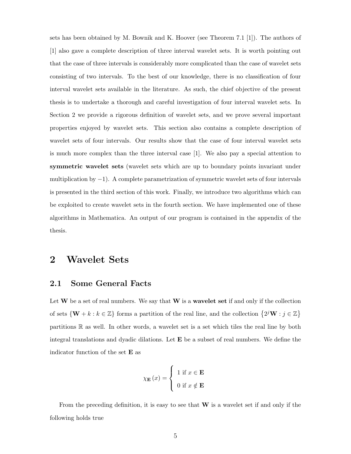sets has been obtained by M. Bownik and K. Hoover (see Theorem 7.1 [1]). The authors of [1] also gave a complete description of three interval wavelet sets. It is worth pointing out that the case of three intervals is considerably more complicated than the case of wavelet sets consisting of two intervals. To the best of our knowledge, there is no classification of four interval wavelet sets available in the literature. As such, the chief objective of the present thesis is to undertake a thorough and careful investigation of four interval wavelet sets. In Section 2 we provide a rigorous definition of wavelet sets, and we prove several important properties enjoyed by wavelet sets. This section also contains a complete description of wavelet sets of four intervals. Our results show that the case of four interval wavelet sets is much more complex than the three interval case [1]. We also pay a special attention to symmetric wavelet sets (wavelet sets which are up to boundary points invariant under multiplication by −1). A complete parametrization of symmetric wavelet sets of four intervals is presented in the third section of this work. Finally, we introduce two algorithms which can be exploited to create wavelet sets in the fourth section. We have implemented one of these algorithms in Mathematica. An output of our program is contained in the appendix of the thesis.

## 2 Wavelet Sets

### 2.1 Some General Facts

Let  $W$  be a set of real numbers. We say that  $W$  is a wavelet set if and only if the collection of sets  $\{W + k : k \in \mathbb{Z}\}\)$  forms a partition of the real line, and the collection  $\{2^jW : j \in \mathbb{Z}\}\$ partitions R as well. In other words, a wavelet set is a set which tiles the real line by both integral translations and dyadic dilations. Let  $E$  be a subset of real numbers. We define the indicator function of the set E as

$$
\chi_{\mathbf{E}}(x) = \begin{cases} 1 & \text{if } x \in \mathbf{E} \\ 0 & \text{if } x \notin \mathbf{E} \end{cases}
$$

From the preceding definition, it is easy to see that  $W$  is a wavelet set if and only if the following holds true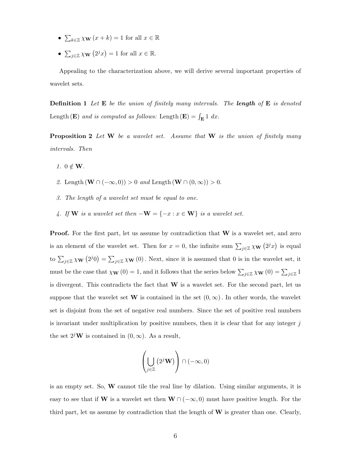- $\sum_{k\in\mathbb{Z}} \chi_{\mathbf{W}}(x+k) = 1$  for all  $x \in \mathbb{R}$
- $\sum_{j\in\mathbb{Z}}\chi_{\mathbf{W}}(2^jx)=1$  for all  $x\in\mathbb{R}$ .

Appealing to the characterization above, we will derive several important properties of wavelet sets.

**Definition 1** Let  $\mathbf{E}$  be the union of finitely many intervals. The **length** of  $\mathbf{E}$  is denoted Length (**E**) and is computed as follows: Length (**E**) =  $\int_{\mathbf{E}} 1 \, dx$ .

**Proposition 2** Let  $W$  be a wavelet set. Assume that  $W$  is the union of finitely many intervals. Then

- 1.  $0 \notin W$ .
- 2. Length  $(\mathbf{W} \cap (-\infty,0)) > 0$  and Length  $(\mathbf{W} \cap (0,\infty)) > 0$ .
- 3. The length of a wavelet set must be equal to one.
- 4. If **W** is a wavelet set then  $-\mathbf{W} = \{-x : x \in \mathbf{W}\}\)$  is a wavelet set.

**Proof.** For the first part, let us assume by contradiction that  $W$  is a wavelet set, and zero is an element of the wavelet set. Then for  $x = 0$ , the infinite sum  $\sum_{j\in\mathbb{Z}} \chi_{\mathbf{W}}(2^j x)$  is equal to  $\sum_{j\in\mathbb{Z}}\chi_{\mathbf{W}}(2^j0)=\sum_{j\in\mathbb{Z}}\chi_{\mathbf{W}}(0)$ . Next, since it is assumed that 0 is in the wavelet set, it must be the case that  $\chi_{\mathbf{W}}(0) = 1$ , and it follows that the series below  $\sum_{j\in\mathbb{Z}}\chi_{\mathbf{W}}(0) = \sum_{j\in\mathbb{Z}}1$ is divergent. This contradicts the fact that W is a wavelet set. For the second part, let us suppose that the wavelet set W is contained in the set  $(0, \infty)$ . In other words, the wavelet set is disjoint from the set of negative real numbers. Since the set of positive real numbers is invariant under multiplication by positive numbers, then it is clear that for any integer  $j$ the set  $2^j$ **W** is contained in  $(0, \infty)$ . As a result,

$$
\left(\bigcup_{j\in\mathbb{Z}}\left(2^j\mathbf{W}\right)\right)\cap(-\infty,0)
$$

is an empty set. So,  $W$  cannot tile the real line by dilation. Using similar arguments, it is easy to see that if W is a wavelet set then  $W \cap (-\infty, 0)$  must have positive length. For the third part, let us assume by contradiction that the length of  $W$  is greater than one. Clearly,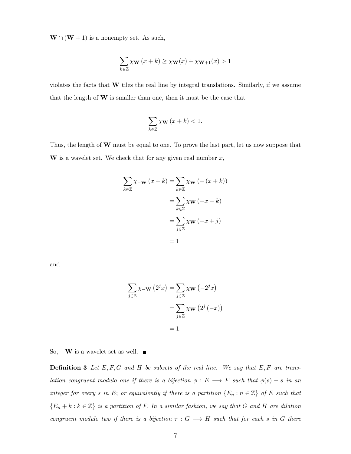$\mathbf{W} \cap (\mathbf{W} + 1)$  is a nonempty set. As such,

$$
\sum_{k \in \mathbb{Z}} \chi_{\mathbf{W}}(x+k) \ge \chi_{\mathbf{W}}(x) + \chi_{\mathbf{W}+1}(x) > 1
$$

violates the facts that W tiles the real line by integral translations. Similarly, if we assume that the length of  $W$  is smaller than one, then it must be the case that

$$
\sum_{k\in\mathbb{Z}}\chi_{\mathbf{W}}\left(x+k\right)<1.
$$

Thus, the length of  $W$  must be equal to one. To prove the last part, let us now suppose that W is a wavelet set. We check that for any given real number  $x$ ,

$$
\sum_{k \in \mathbb{Z}} \chi_{-\mathbf{W}} (x + k) = \sum_{k \in \mathbb{Z}} \chi_{\mathbf{W}} (- (x + k))
$$

$$
= \sum_{k \in \mathbb{Z}} \chi_{\mathbf{W}} (-x - k)
$$

$$
= \sum_{j \in \mathbb{Z}} \chi_{\mathbf{W}} (-x + j)
$$

$$
= 1
$$

and

$$
\sum_{j \in \mathbb{Z}} \chi_{-\mathbf{W}}(2^j x) = \sum_{j \in \mathbb{Z}} \chi_{\mathbf{W}}(-2^j x)
$$

$$
= \sum_{j \in \mathbb{Z}} \chi_{\mathbf{W}}(2^j (-x))
$$

$$
= 1.
$$

So,  $-\mathbf{W}$  is a wavelet set as well.  $\blacksquare$ 

**Definition 3** Let  $E, F, G$  and H be subsets of the real line. We say that  $E, F$  are translation congruent modulo one if there is a bijection  $\phi : E \longrightarrow F$  such that  $\phi(s) - s$  in an integer for every s in E; or equivalently if there is a partition  $\{E_n : n \in \mathbb{Z}\}\$  of E such that  ${E_n + k : k \in \mathbb{Z}}$  is a partition of F. In a similar fashion, we say that G and H are dilation congruent modulo two if there is a bijection  $\tau : G \longrightarrow H$  such that for each s in G there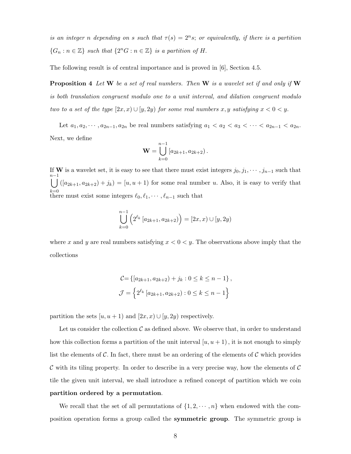is an integer n depending on s such that  $\tau(s) = 2^n s$ ; or equivalently, if there is a partition  $\{G_n : n \in \mathbb{Z}\}\$  such that  $\{2^n G : n \in \mathbb{Z}\}\$  is a partition of H.

The following result is of central importance and is proved in [6], Section 4.5.

**Proposition 4** Let  $W$  be a set of real numbers. Then  $W$  is a wavelet set if and only if  $W$ is both translation congruent modulo one to a unit interval, and dilation congruent modulo two to a set of the type  $[2x, x) \cup [y, 2y)$  for some real numbers  $x, y$  satisfying  $x < 0 < y$ .

Let  $a_1, a_2, \dots, a_{2n-1}, a_{2n}$  be real numbers satisfying  $a_1 < a_2 < a_3 < \dots < a_{2n-1} < a_{2n}$ . Next, we define

$$
\mathbf{W} = \bigcup_{k=0}^{n-1} [a_{2k+1}, a_{2k+2}).
$$

If W is a wavelet set, it is easy to see that there must exist integers  $j_0, j_1, \cdots, j_{n-1}$  such that n $\bigcup_{l}^{n-1}([a_{2k+1}, a_{2k+2}) + j_k) = [u, u + 1)$  for some real number u. Also, it is easy to verify that  $k=0$ <br>there must exist some integers  $\ell_0, \ell_1, \cdots, \ell_{n-1}$  such that

$$
\bigcup_{k=0}^{n-1} \left( 2^{\ell_k} \left[ a_{2k+1}, a_{2k+2} \right) \right) = \left[ 2x, x \right) \cup \left[ y, 2y \right)
$$

where x and y are real numbers satisfying  $x < 0 < y$ . The observations above imply that the collections

$$
C = \{ [a_{2k+1}, a_{2k+2}) + j_k : 0 \le k \le n-1 \},\
$$
  

$$
\mathcal{J} = \{ 2^{\ell_k} [a_{2k+1}, a_{2k+2}) : 0 \le k \le n-1 \}
$$

partition the sets  $[u, u + 1]$  and  $[2x, x) \cup [y, 2y]$  respectively.

Let us consider the collection  $\mathcal C$  as defined above. We observe that, in order to understand how this collection forms a partition of the unit interval  $[u, u + 1]$ , it is not enough to simply list the elements of  $\mathcal C$ . In fact, there must be an ordering of the elements of  $\mathcal C$  which provides  $\mathcal C$  with its tiling property. In order to describe in a very precise way, how the elements of  $\mathcal C$ tile the given unit interval, we shall introduce a refined concept of partition which we coin partition ordered by a permutation.

We recall that the set of all permutations of  $\{1, 2, \dots, n\}$  when endowed with the composition operation forms a group called the symmetric group. The symmetric group is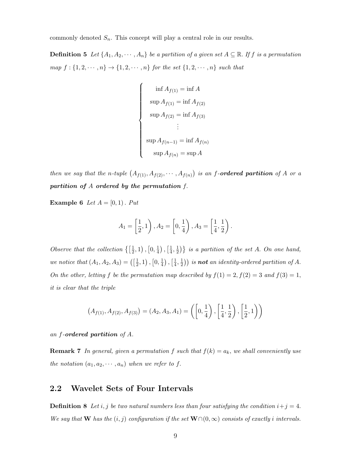commonly denoted  $S_n$ . This concept will play a central role in our results.

**Definition 5** Let  $\{A_1, A_2, \dots, A_n\}$  be a partition of a given set  $A \subseteq \mathbb{R}$ . If f is a permutation map  $f: \{1, 2, \cdots, n\} \rightarrow \{1, 2, \cdots, n\}$  for the set  $\{1, 2, \cdots, n\}$  such that

$$
\begin{cases}\n\inf A_{f(1)} = \inf A \\
\sup A_{f(1)} = \inf A_{f(2)} \\
\sup A_{f(2)} = \inf A_{f(3)} \\
\vdots \\
\sup A_{f(n-1)} = \inf A_{f(n)} \\
\sup A_{f(n)} = \sup A\n\end{cases}
$$

then we say that the n-tuple  $(A_{f(1)}, A_{f(2)}, \cdots, A_{f(n)})$  is an f-ordered partition of A or a partition of A ordered by the permutation f.

**Example 6** Let  $A = [0, 1)$ . Put

$$
A_1 = \left[\frac{1}{2}, 1\right), A_2 = \left[0, \frac{1}{4}\right), A_3 = \left[\frac{1}{4}, \frac{1}{2}\right).
$$

Observe that the collection  $\{\frac{1}{2}\}$  $(\frac{1}{2},1)$ ,  $[0,\frac{1}{4}]$  $\frac{1}{4}$ ),  $\left[\frac{1}{4}\right]$  $\frac{1}{4}, \frac{1}{2}$  $\{\frac{1}{2}\}\}$  is a partition of the set A. On one hand, we notice that  $(A_1, A_2, A_3) = \begin{pmatrix} \frac{1}{2} \end{pmatrix}$  $(\frac{1}{2}, 1), [0, \frac{1}{4}]$  $\frac{1}{4}$ ),  $\left[\frac{1}{4}\right]$  $\frac{1}{4}, \frac{1}{2}$  $(\frac{1}{2})$  is **not** an identity-ordered partition of A. On the other, letting f be the permutation map described by  $f(1) = 2, f(2) = 3$  and  $f(3) = 1$ , it is clear that the triple

$$
(A_{f(1)}, A_{f(2)}, A_{f(3)}) = (A_2, A_3, A_1) = \left( \left[ 0, \frac{1}{4} \right), \left[ \frac{1}{4}, \frac{1}{2} \right), \left[ \frac{1}{2}, 1 \right) \right)
$$

an f-ordered partition of A.

**Remark 7** In general, given a permutation f such that  $f(k) = a_k$ , we shall conveniently use the notation  $(a_1, a_2, \dots, a_n)$  when we refer to f.

### 2.2 Wavelet Sets of Four Intervals

**Definition 8** Let i, j be two natural numbers less than four satisfying the condition  $i+j=4$ . We say that W has the  $(i, j)$  configuration if the set  $W∩(0, ∞)$  consists of exactly i intervals.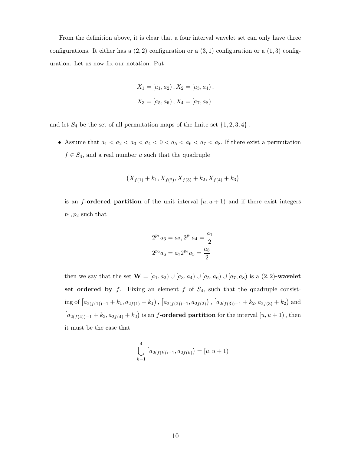From the definition above, it is clear that a four interval wavelet set can only have three configurations. It either has a  $(2, 2)$  configuration or a  $(3, 1)$  configuration or a  $(1, 3)$  configuration. Let us now fix our notation. Put

$$
X_1 = [a_1, a_2), X_2 = [a_3, a_4),
$$
  

$$
X_3 = [a_5, a_6), X_4 = [a_7, a_8)
$$

and let  $S_4$  be the set of all permutation maps of the finite set  $\{1, 2, 3, 4\}$ .

• Assume that  $a_1 < a_2 < a_3 < a_4 < 0 < a_5 < a_6 < a_7 < a_8$ . If there exist a permutation  $f \in S_4,$  and a real number  $u$  such that the quadruple

$$
(X_{f(1)} + k_1, X_{f(2)}, X_{f(3)} + k_2, X_{f(4)} + k_3)
$$

is an f-ordered partition of the unit interval  $[u, u + 1]$  and if there exist integers  $p_1, p_2$  such that

$$
2^{p_1}a_3 = a_2, 2^{p_1}a_4 = \frac{a_1}{2}
$$

$$
2^{p_2}a_6 = a_7 2^{p_2}a_5 = \frac{a_8}{2}
$$

then we say that the set  $\mathbf{W} = [a_1, a_2) \cup [a_3, a_4) \cup [a_5, a_6) \cup [a_7, a_8)$  is a  $(2, 2)$ -wavelet set ordered by  $f$ . Fixing an element  $f$  of  $S_4$ , such that the quadruple consist- $\text{ing of } [a_{2(f(1))-1} + k_1, a_{2f(1)} + k_1], [a_{2(f(2))-1}, a_{2f(2)})$ ,  $[a_{2(f(3))-1} + k_2, a_{2f(3)} + k_2]$  and  $[a_{2(f(4))-1}+k_3,a_{2f(4)}+k_3)$  is an f-ordered partition for the interval  $[u,u+1)$ , then it must be the case that

$$
\bigcup_{k=1}^{4} [a_{2(f(k))-1}, a_{2f(k)}) = [u, u+1)
$$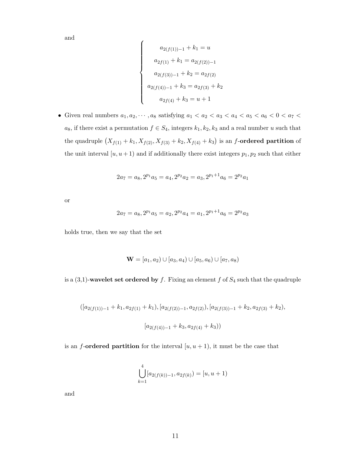and

$$
\begin{cases}\na_{2(f(1))-1} + k_1 = u \\
a_{2f(1)} + k_1 = a_{2(f(2))-1} \\
a_{2(f(3))-1} + k_2 = a_{2f(2)} \\
a_{2(f(4))-1} + k_3 = a_{2f(3)} + k_2 \\
a_{2f(4)} + k_3 = u + 1\n\end{cases}
$$

 $\bullet\,$  Given real numbers  $a_1, a_2, \cdots, a_8$  satisfying  $a_1 < a_2 < a_3 < a_4 < a_5 < a_6 < 0 < a_7 < a_9$  $a_8$ , if there exist a permutation  $f \in S_4$ , integers  $k_1, k_2, k_3$  and a real number u such that the quadruple  $(X_{f(1)} + k_1, X_{f(2)}, X_{f(3)} + k_2, X_{f(4)} + k_3)$  is an f-ordered partition of the unit interval  $[u, u + 1]$  and if additionally there exist integers  $p_1, p_2$  such that either

$$
2a_7 = a_8, 2^{p_1}a_5 = a_4, 2^{p_2}a_2 = a_3, 2^{p_1+1}a_6 = 2^{p_2}a_1
$$

or

$$
2a_7 = a_8, 2^{p_1}a_5 = a_2, 2^{p_2}a_4 = a_1, 2^{p_1+1}a_6 = 2^{p_2}a_3
$$

holds true, then we say that the set

$$
\mathbf{W} = [a_1, a_2) \cup [a_3, a_4) \cup [a_5, a_6) \cup [a_7, a_8)
$$

is a  $(3,1)$ -wavelet set ordered by f. Fixing an element f of  $S_4$  such that the quadruple

$$
([a_{2(f(1))-1}+k_1,a_{2f(1)}+k_1),[a_{2(f(2))-1},a_{2f(2)}),[a_{2(f(3))-1}+k_2,a_{2f(3)}+k_2),\\[a_{2(f(4))-1}+k_3,a_{2f(4)}+k_3))
$$

is an f-ordered partition for the interval  $[u, u + 1]$ , it must be the case that

$$
\bigcup_{k=1}^{4} [a_{2(f(k))-1}, a_{2f(k)}) = [u, u+1)
$$

and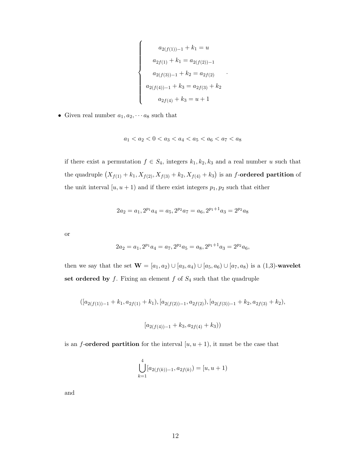$$
\begin{cases}\na_{2(f(1))-1} + k_1 = u \\
a_{2f(1)} + k_1 = a_{2(f(2))-1} \\
a_{2(f(3))-1} + k_2 = a_{2f(2)} \\
a_{2(f(4))-1} + k_3 = a_{2f(3)} + k_2 \\
a_{2f(4)} + k_3 = u + 1\n\end{cases}
$$

.

• Given real number  $a_1, a_2, \cdots a_8$  such that

$$
a_1 < a_2 < 0 < a_3 < a_4 < a_5 < a_6 < a_7 < a_8
$$

if there exist a permutation  $f \in S_4$ , integers  $k_1, k_2, k_3$  and a real number u such that the quadruple  $(X_{f(1)} + k_1, X_{f(2)}, X_{f(3)} + k_2, X_{f(4)} + k_3)$  is an f-ordered partition of the unit interval  $[u, u + 1)$  and if there exist integers  $p_1, p_2$  such that either

$$
2a_2 = a_1, 2^{p_1}a_4 = a_5, 2^{p_2}a_7 = a_6, 2^{p_1+1}a_3 = 2^{p_2}a_8
$$

or

$$
2a_2 = a_1, 2^{p_1}a_4 = a_7, 2^{p_2}a_5 = a_8, 2^{p_1+1}a_3 = 2^{p_2}a_6,
$$

then we say that the set  $\mathbf{W} = [a_1, a_2) \cup [a_3, a_4) \cup [a_5, a_6) \cup [a_7, a_8)$  is a  $(1,3)$ -wavelet set ordered by  $f$ . Fixing an element  $f$  of  $S<sub>4</sub>$  such that the quadruple

$$
([a_{2(f(1))-1}+k_1,a_{2f(1)}+k_1),[a_{2(f(2))-1},a_{2f(2)}),[a_{2(f(3))-1}+k_2,a_{2f(3)}+k_2),
$$

$$
[a_{2(f(4))-1} + k_3, a_{2f(4)} + k_3))
$$

is an f-ordered partition for the interval  $[u, u + 1]$ , it must be the case that

$$
\bigcup_{k=1}^{4} [a_{2(f(k))-1}, a_{2f(k)}) = [u, u+1)
$$

and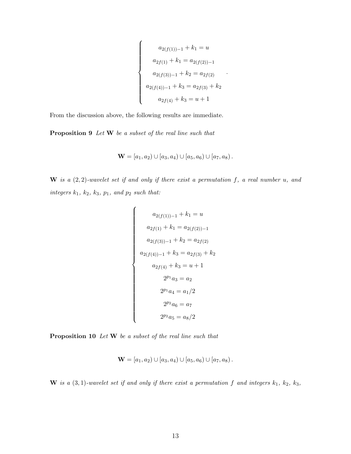$$
\begin{cases}\na_{2(f(1))-1} + k_1 = u \\
a_{2f(1)} + k_1 = a_{2(f(2))-1} \\
a_{2(f(3))-1} + k_2 = a_{2f(2)} \\
a_{2(f(4))-1} + k_3 = a_{2f(3)} + k_2 \\
a_{2f(4)} + k_3 = u + 1\n\end{cases}
$$

.

From the discussion above, the following results are immediate.

Proposition 9 Let W be a subset of the real line such that

$$
\mathbf{W} = [a_1, a_2) \cup [a_3, a_4) \cup [a_5, a_6) \cup [a_7, a_8).
$$

 $\mathbf{W}$  is a  $(2, 2)$ -wavelet set if and only if there exist a permutation f, a real number u, and  $integers\ k_1,\ k_2,\ k_3,\ p_1,\ and\ p_2\ such\ that:$ 

$$
a_{2(f(1))-1} + k_1 = u
$$
  
\n
$$
a_{2f(1)} + k_1 = a_{2(f(2))-1}
$$
  
\n
$$
a_{2(f(3))-1} + k_2 = a_{2f(2)}
$$
  
\n
$$
a_{2(f(4))-1} + k_3 = a_{2f(3)} + k_2
$$
  
\n
$$
a_{2f(4)} + k_3 = u + 1
$$
  
\n
$$
2^{p_1}a_3 = a_2
$$
  
\n
$$
2^{p_1}a_4 = a_1/2
$$
  
\n
$$
2^{p_2}a_6 = a_7
$$
  
\n
$$
2^{p_2}a_5 = a_8/2
$$

Proposition 10 Let W be a subset of the real line such that

$$
\mathbf{W} = [a_1, a_2) \cup [a_3, a_4) \cup [a_5, a_6) \cup [a_7, a_8).
$$

W is a  $(3, 1)$ -wavelet set if and only if there exist a permutation f and integers  $k_1$ ,  $k_2$ ,  $k_3$ ,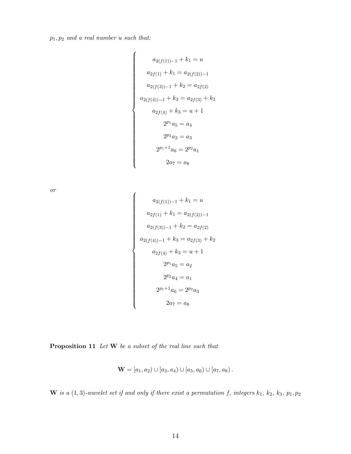$p_1, p_2$  and a real number u such that:

$$
a_{2(f(1))-1} + k_1 = u
$$
  
\n
$$
a_{2f(1)} + k_1 = a_{2(f(2))-1}
$$
  
\n
$$
a_{2(f(3))-1} + k_2 = a_{2f(2)}
$$
  
\n
$$
a_{2(f(4))-1} + k_3 = a_{2f(3)} + k_2
$$
  
\n
$$
a_{2f(4)} + k_3 = u + 1
$$
  
\n
$$
2^{p_1}a_5 = a_4
$$
  
\n
$$
2^{p_2}a_2 = a_3
$$
  
\n
$$
2^{p_1+1}a_6 = 2^{p_2}a_1
$$
  
\n
$$
2a_7 = a_8
$$

or

$$
a_{2(f(1))-1} + k_1 = u
$$
  
\n
$$
a_{2f(1)} + k_1 = a_{2(f(2))-1}
$$
  
\n
$$
a_{2(f(3))-1} + k_2 = a_{2f(2)}
$$
  
\n
$$
a_{2(f(4))-1} + k_3 = a_{2f(3)} + k_2
$$
  
\n
$$
a_{2f(4)} + k_3 = u + 1
$$
  
\n
$$
2^{p_1}a_5 = a_2
$$
  
\n
$$
2^{p_2}a_4 = a_1
$$
  
\n
$$
2^{p_1+1}a_6 = 2^{p_2}a_3
$$
  
\n
$$
2a_7 = a_8
$$

Proposition 11 Let W be a subset of the real line such that

$$
\mathbf{W} = [a_1, a_2) \cup [a_3, a_4) \cup [a_5, a_6) \cup [a_7, a_8).
$$

W is a  $(1, 3)$ -wavelet set if and only if there exist a permutation f, integers  $k_1$ ,  $k_2$ ,  $k_3$ ,  $p_1$ ,  $p_2$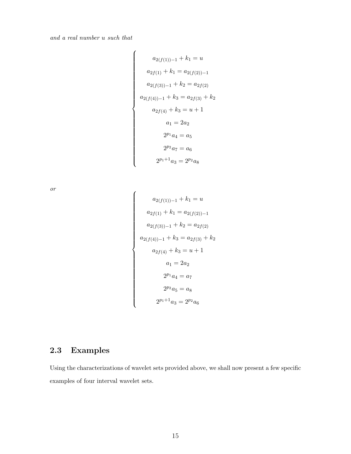and a real number u such that

$$
\begin{cases}\na_{2(f(1))-1} + k_1 = u \\
a_{2f(1)} + k_1 = a_{2(f(2))-1} \\
a_{2(f(3))-1} + k_2 = a_{2f(2)} \\
a_{2(f(4))-1} + k_3 = a_{2f(3)} + k_2 \\
a_{2f(4)} + k_3 = u + 1 \\
a_1 = 2a_2 \\
2^{p_1}a_4 = a_5 \\
2^{p_2}a_7 = a_6 \\
2^{p_1+1}a_3 = 2^{p_2}a_8\n\end{cases}
$$

or

$$
\begin{cases}\na_{2(f(1))-1} + k_1 = u \\
a_{2f(1)} + k_1 = a_{2(f(2))-1} \\
a_{2(f(3))-1} + k_2 = a_{2f(2)} \\
a_{2(f(4))-1} + k_3 = a_{2f(3)} + k_2 \\
a_{2f(4)} + k_3 = u + 1 \\
a_1 = 2a_2 \\
2^{p_1}a_4 = a_7 \\
2^{p_2}a_5 = a_8 \\
2^{p_1+1}a_3 = 2^{p_2}a_6\n\end{cases}
$$

## 2.3 Examples

Using the characterizations of wavelet sets provided above, we shall now present a few specific examples of four interval wavelet sets.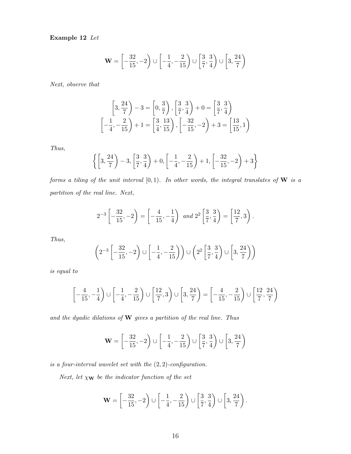Example 12 Let

$$
\mathbf{W} = \left[ -\frac{32}{15}, -2 \right) \cup \left[ -\frac{1}{4}, -\frac{2}{15} \right) \cup \left[ \frac{3}{7}, \frac{3}{4} \right) \cup \left[ 3, \frac{24}{7} \right)
$$

Next, observe that

$$
\left[3, \frac{24}{7}\right) - 3 = \left[0, \frac{3}{7}\right), \left[\frac{3}{7}, \frac{3}{4}\right) + 0 = \left[\frac{3}{7}, \frac{3}{4}\right)
$$

$$
\left[-\frac{1}{4}, -\frac{2}{15}\right) + 1 = \left[\frac{3}{4}, \frac{13}{15}\right), \left[-\frac{32}{15}, -2\right) + 3 = \left[\frac{13}{15}, 1\right)
$$

Thus,

$$
\left\{ \left[3, \frac{24}{7}\right) - 3, \left[\frac{3}{7}, \frac{3}{4}\right) + 0, \left[-\frac{1}{4}, -\frac{2}{15}\right) + 1, \left[-\frac{32}{15}, -2\right) + 3 \right\}
$$

forms a tiling of the unit interval  $[0, 1)$ . In other words, the integral translates of W is a partition of the real line. Next,

$$
2^{-3}\left[-\frac{32}{15},-2\right) = \left[-\frac{4}{15},-\frac{1}{4}\right) \text{ and } 2^{2}\left[\frac{3}{7},\frac{3}{4}\right) = \left[\frac{12}{7},3\right).
$$

Thus,

$$
\left(2^{-3}\left[-\frac{32}{15},-2\right) \cup \left[-\frac{1}{4},-\frac{2}{15}\right)\right) \cup \left(2^{2}\left[\frac{3}{7},\frac{3}{4}\right) \cup \left[3,\frac{24}{7}\right)\right)
$$

is equal to

$$
\left[-\frac{4}{15}, -\frac{1}{4}\right] \cup \left[-\frac{1}{4}, -\frac{2}{15}\right] \cup \left[\frac{12}{7}, 3\right) \cup \left[3, \frac{24}{7}\right) = \left[-\frac{4}{15}, -\frac{2}{15}\right] \cup \left[\frac{12}{7}, \frac{24}{7}\right)
$$

and the dyadic dilations of  $\bf{W}$  gives a partition of the real line. Thus

$$
\mathbf{W} = \left[ -\frac{32}{15}, -2 \right) \cup \left[ -\frac{1}{4}, -\frac{2}{15} \right) \cup \left[ \frac{3}{7}, \frac{3}{4} \right) \cup \left[ 3, \frac{24}{7} \right)
$$

is a four-interval wavelet set with the  $(2, 2)$ -configuration.

Next, let  $\chi_{\mathbf{W}}$  be the indicator function of the set

$$
\mathbf{W} = \left[ -\frac{32}{15}, -2 \right) \cup \left[ -\frac{1}{4}, -\frac{2}{15} \right) \cup \left[ \frac{3}{7}, \frac{3}{4} \right) \cup \left[ 3, \frac{24}{7} \right).
$$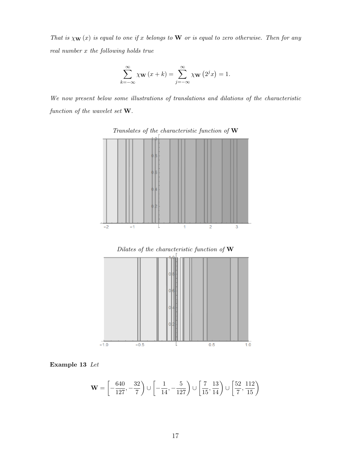That is  $\chi_{\mathbf{W}}(x)$  is equal to one if x belongs to **W** or is equal to zero otherwise. Then for any real number x the following holds true

$$
\sum_{k=-\infty}^{\infty} \chi_{\mathbf{W}}(x+k) = \sum_{j=-\infty}^{\infty} \chi_{\mathbf{W}}(2^{j}x) = 1.
$$

We now present below some illustrations of translations and dilations of the characteristic function of the wavelet set W.



Translates of the characteristic function of  $\mathbf W$ 

Dilates of the characteristic function of W



Example 13 Let

$$
\mathbf{W} = \left[ -\frac{640}{127}, -\frac{32}{7} \right) \cup \left[ -\frac{1}{14}, -\frac{5}{127} \right) \cup \left[ \frac{7}{15}, \frac{13}{14} \right) \cup \left[ \frac{52}{7}, \frac{112}{15} \right)
$$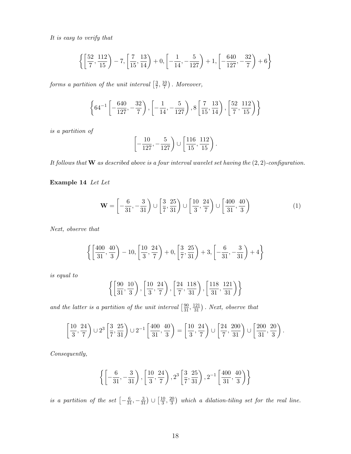It is easy to verify that

$$
\left\{ \left[ \frac{52}{7}, \frac{112}{15} \right) - 7, \left[ \frac{7}{15}, \frac{13}{14} \right) + 0, \left[ -\frac{1}{14}, -\frac{5}{127} \right) + 1, \left[ -\frac{640}{127}, -\frac{32}{7} \right) + 6 \right\}
$$

forms a partition of the unit interval  $\left[\frac{3}{7}\right]$  $\frac{3}{7}, \frac{10}{7}$  $\frac{10}{7}$ . Moreover,

$$
\left\{64^{-1}\left[-\frac{640}{127}, -\frac{32}{7}\right), \left[-\frac{1}{14}, -\frac{5}{127}\right), 8\left[\frac{7}{15}, \frac{13}{14}\right), \left[\frac{52}{7}, \frac{112}{15}\right)\right\}
$$

is a partition of

$$
\left[-\frac{10}{127}, -\frac{5}{127}\right) \cup \left[\frac{116}{15}, \frac{112}{15}\right).
$$

It follows that  $\bf{W}$  as described above is a four interval wavelet set having the  $(2, 2)$ -configuration.

Example 14 Let Let

$$
\mathbf{W} = \left[ -\frac{6}{31}, -\frac{3}{31} \right) \cup \left[ \frac{3}{7}, \frac{25}{31} \right) \cup \left[ \frac{10}{3}, \frac{24}{7} \right) \cup \left[ \frac{400}{31}, \frac{40}{3} \right) \tag{1}
$$

Next, observe that

$$
\left\{ \left[ \frac{400}{31}, \frac{40}{3} \right) - 10, \left[ \frac{10}{3}, \frac{24}{7} \right) + 0, \left[ \frac{3}{7}, \frac{25}{31} \right) + 3, \left[ -\frac{6}{31}, -\frac{3}{31} \right) + 4 \right\}
$$

is equal to

$$
\left\{ \left[ \frac{90}{31}, \frac{10}{3} \right), \left[ \frac{10}{3}, \frac{24}{7} \right), \left[ \frac{24}{7}, \frac{118}{31} \right), \left[ \frac{118}{31}, \frac{121}{31} \right) \right\}
$$

and the latter is a partition of the unit interval  $\left[\frac{90}{31}, \frac{121}{31}\right)$ . Next, observe that

$$
\left[\frac{10}{3}, \frac{24}{7}\right) \cup 2^3 \left[\frac{3}{7}, \frac{25}{31}\right) \cup 2^{-1} \left[\frac{400}{31}, \frac{40}{3}\right) = \left[\frac{10}{3}, \frac{24}{7}\right) \cup \left[\frac{24}{7}, \frac{200}{31}\right) \cup \left[\frac{200}{31}, \frac{20}{3}\right).
$$

Consequently,

$$
\left\{ \left[ -\frac{6}{31}, -\frac{3}{31} \right), \left[ \frac{10}{3}, \frac{24}{7} \right), 2^3 \left[ \frac{3}{7}, \frac{25}{31} \right), 2^{-1} \left[ \frac{400}{31}, \frac{40}{3} \right) \right\}
$$

is a partition of the set  $\left[-\frac{6}{31}, -\frac{3}{31}\right) \cup \left[\frac{10}{3}\right]$  $\frac{10}{3}, \frac{20}{3}$  $\frac{20}{3}$ ) which a dilation-tiling set for the real line.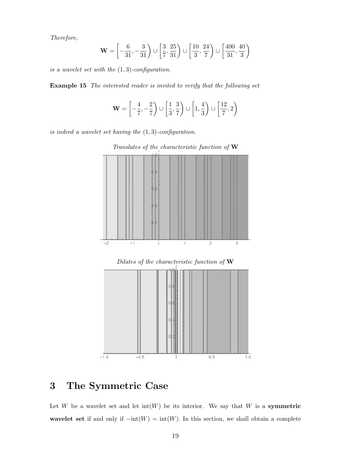Therefore,

$$
\mathbf{W} = \left[ -\frac{6}{31}, -\frac{3}{31} \right) \cup \left[ \frac{3}{7}, \frac{25}{31} \right) \cup \left[ \frac{10}{3}, \frac{24}{7} \right) \cup \left[ \frac{400}{31}, \frac{40}{3} \right)
$$

is a wavelet set with the  $(1, 3)$ -configuration.

Example 15 The interested reader is invited to verify that the following set

$$
\mathbf{W} = \left[ -\frac{4}{7}, -\frac{2}{7} \right) \cup \left[ \frac{1}{3}, \frac{3}{7} \right) \cup \left[ 1, \frac{4}{3} \right) \cup \left[ \frac{12}{7}, 2 \right)
$$

is indeed a wavelet set having the  $(1, 3)$ -configuration.



Translates of the characteristic function of W

## 3 The Symmetric Case

Let W be a wavelet set and let  $int(W)$  be its interior. We say that W is a **symmetric** wavelet set if and only if  $-int(W) = int(W)$ . In this section, we shall obtain a complete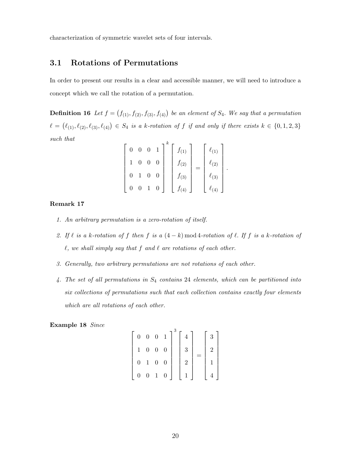characterization of symmetric wavelet sets of four intervals.

### 3.1 Rotations of Permutations

In order to present our results in a clear and accessible manner, we will need to introduce a concept which we call the rotation of a permutation.

**Definition 16** Let  $f = (f_{(1)}, f_{(2)}, f_{(3)}, f_{(4)})$  be an element of  $S_4$ . We say that a permutation  $\ell = (\ell_{(1)}, \ell_{(2)}, \ell_{(3)}, \ell_{(4)}) \in S_4$  is a k-rotation of f if and only if there exists  $k \in \{0, 1, 2, 3\}$ such that

|                | $\overline{0}$ |   | $f_{(1)}$ | $\ell_{(1)}$     |
|----------------|----------------|---|-----------|------------------|
|                | $\overline{0}$ | 0 | $f_{(2)}$ | $\mathcal{O}(2)$ |
| 0              | $\overline{0}$ | 0 | $f_{(3)}$ | (3)              |
| $\overline{0}$ |                |   |           | (4)              |

.

#### Remark 17

- 1. An arbitrary permutation is a zero-rotation of itself.
- 2. If  $\ell$  is a k-rotation of f then f is a  $(4 k)$  mod 4-rotation of  $\ell$ . If f is a k-rotation of  $\ell$ , we shall simply say that f and  $\ell$  are rotations of each other.
- 3. Generally, two arbitrary permutations are not rotations of each other.
- 4. The set of all permutations in S<sup>4</sup> contains 24 elements, which can be partitioned into six collections of permutations such that each collection contains exactly four elements which are all rotations of each other.

Example 18 Since

| $\overline{0}$  | $\overline{0}$   | $\overline{0}$ | $\mathbf{1}$     |                | $\sqrt{3}$ |  |
|-----------------|------------------|----------------|------------------|----------------|------------|--|
|                 | $\boldsymbol{0}$ | $\overline{0}$ | $\boldsymbol{0}$ | 3              |            |  |
| $\overline{0}$  | $\,1\,$          | $\overline{0}$ | $\boldsymbol{0}$ | $\overline{2}$ |            |  |
| $\vert 0 \vert$ | $\boldsymbol{0}$ | $\,1\,$        | $\boldsymbol{0}$ |                |            |  |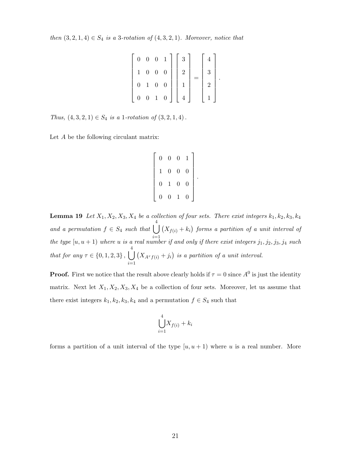then  $(3, 2, 1, 4) \in S_4$  is a 3-rotation of  $(4, 3, 2, 1)$ . Moreover, notice that

|                |       | $0\quad 0\quad 0\quad 1$ |                  | $\boldsymbol{3}$ |   |  |
|----------------|-------|--------------------------|------------------|------------------|---|--|
|                | $0\,$ | $0 \quad 0$              |                  | $\overline{2}$   | 3 |  |
| $\overline{0}$ | $\,1$ | $\boldsymbol{0}$         | $\boldsymbol{0}$ |                  | 2 |  |
| $\overline{0}$ |       | $0\quad 1$               | $\boldsymbol{0}$ | $\overline{4}$   |   |  |

.

Thus,  $(4, 3, 2, 1) \in S_4$  is a 1-rotation of  $(3, 2, 1, 4)$ .

Let A be the following circulant matrix:

 $\sqrt{ }$  $\begin{array}{c} \begin{array}{c} \begin{array}{c} \begin{array}{c} \end{array} \\ \begin{array}{c} \end{array} \end{array} \end{array} \end{array}$ 0 0 0 1 1 0 0 0 0 1 0 0 0 0 1 0 1 

.

**Lemma 19** Let  $X_1, X_2, X_3, X_4$  be a collection of four sets. There exist integers  $k_1, k_2, k_3, k_4$ and a permutation  $f \in S_4$  such that  $\Big|$  $i=1$  $(X_{f(i)} + k_i)$  forms a partition of a unit interval of the type  $[u, u + 1]$  where u is a real number if and only if there exist integers  $j_1, j_2, j_3, j_4$  such that for any  $\tau \in \{0, 1, 2, 3\}, \Box$ 4  $i=1$  $(X_{A^{\tau}f(i)}+j_i)$  is a partition of a unit interval.

**Proof.** First we notice that the result above clearly holds if  $\tau = 0$  since  $A^0$  is just the identity matrix. Next let  $X_1, X_2, X_3, X_4$  be a collection of four sets. Moreover, let us assume that there exist integers  $k_1, k_2, k_3, k_4$  and a permutation  $f \in S_4$  such that

$$
\bigcup_{i=1}^{4} X_{f(i)} + k_i
$$

forms a partition of a unit interval of the type  $[u, u + 1]$  where u is a real number. More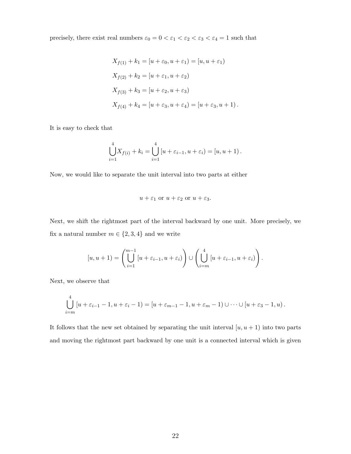precisely, there exist real numbers  $\varepsilon_0=0<\varepsilon_1<\varepsilon_2<\varepsilon_3<\varepsilon_4=1$  such that

$$
X_{f(1)} + k_1 = [u + \varepsilon_0, u + \varepsilon_1) = [u, u + \varepsilon_1)
$$
  
\n
$$
X_{f(2)} + k_2 = [u + \varepsilon_1, u + \varepsilon_2)
$$
  
\n
$$
X_{f(3)} + k_3 = [u + \varepsilon_2, u + \varepsilon_3)
$$
  
\n
$$
X_{f(4)} + k_4 = [u + \varepsilon_3, u + \varepsilon_4) = [u + \varepsilon_3, u + 1).
$$

It is easy to check that

$$
\bigcup_{i=1}^{4} X_{f(i)} + k_i = \bigcup_{i=1}^{4} [u + \varepsilon_{i-1}, u + \varepsilon_i] = [u, u + 1).
$$

Now, we would like to separate the unit interval into two parts at either

$$
u + \varepsilon_1 \text{ or } u + \varepsilon_2 \text{ or } u + \varepsilon_3.
$$

Next, we shift the rightmost part of the interval backward by one unit. More precisely, we fix a natural number  $m \in \{2,3,4\}$  and we write

$$
[u, u+1) = \left(\bigcup_{i=1}^{m-1} [u + \varepsilon_{i-1}, u + \varepsilon_i)\right) \cup \left(\bigcup_{i=m}^{4} [u + \varepsilon_{i-1}, u + \varepsilon_i)\right).
$$

Next, we observe that

$$
\bigcup_{i=m}^4 [u+\varepsilon_{i-1}-1, u+\varepsilon_i-1] = [u+\varepsilon_{m-1}-1, u+\varepsilon_m-1] \cup \cdots \cup [u+\varepsilon_3-1, u).
$$

It follows that the new set obtained by separating the unit interval  $[u, u + 1]$  into two parts and moving the rightmost part backward by one unit is a connected interval which is given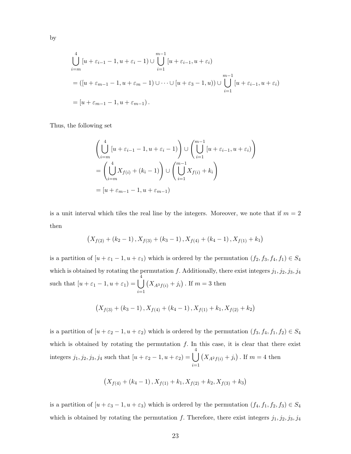$$
\bigcup_{i=m}^{4} [u + \varepsilon_{i-1} - 1, u + \varepsilon_i - 1] \cup \bigcup_{i=1}^{m-1} [u + \varepsilon_{i-1}, u + \varepsilon_i]
$$
  
= 
$$
([u + \varepsilon_{m-1} - 1, u + \varepsilon_m - 1) \cup \dots \cup [u + \varepsilon_3 - 1, u]) \cup \bigcup_{i=1}^{m-1} [u + \varepsilon_{i-1}, u + \varepsilon_i]
$$
  
= 
$$
[u + \varepsilon_{m-1} - 1, u + \varepsilon_{m-1}).
$$

Thus, the following set

by

$$
\left(\bigcup_{i=m}^{4} [u + \varepsilon_{i-1} - 1, u + \varepsilon_i - 1]\right) \cup \left(\bigcup_{i=1}^{m-1} [u + \varepsilon_{i-1}, u + \varepsilon_i]\right)
$$

$$
= \left(\bigcup_{i=m}^{4} X_{f(i)} + (k_i - 1)\right) \cup \left(\bigcup_{i=1}^{m-1} X_{f(i)} + k_i\right)
$$

$$
= [u + \varepsilon_{m-1} - 1, u + \varepsilon_{m-1})
$$

is a unit interval which tiles the real line by the integers. Moreover, we note that if  $m = 2$ then

$$
(X_{f(2)} + (k_2 - 1), X_{f(3)} + (k_3 - 1), X_{f(4)} + (k_4 - 1), X_{f(1)} + k_1)
$$

is a partition of  $[u + \varepsilon_1 - 1, u + \varepsilon_1)$  which is ordered by the permutation  $(f_2, f_3, f_4, f_1) \in S_4$ which is obtained by rotating the permutation f. Additionally, there exist integers  $j_1, j_2, j_3, j_4$ such that  $[u + \varepsilon_1 - 1, u + \varepsilon_1] = \begin{bmatrix} \end{bmatrix}$  $i=1$  $(X_{A^{3}f(i)} + j_{i})$ . If  $m = 3$  then

$$
\left(X_{f(3)}+(k_3-1)\,,X_{f(4)}+(k_4-1)\,,X_{f(1)}+k_1,X_{f(2)}+k_2\right)
$$

is a partition of  $[u + \varepsilon_2 - 1, u + \varepsilon_2]$  which is ordered by the permutation  $(f_3, f_4, f_1, f_2) \in S_4$ which is obtained by rotating the permutation  $f$ . In this case, it is clear that there exist integers  $j_1, j_2, j_3, j_4$  such that  $[u + \varepsilon_2 - 1, u + \varepsilon_2] = \begin{bmatrix} \end{bmatrix}$ 4  $i=1$  $(X_{A^2f(i)} + j_i)$ . If  $m = 4$  then

$$
\left(X_{f(4)}+(k_4-1)\,,X_{f(1)}+k_1,X_{f(2)}+k_2,X_{f(3)}+k_3\right)
$$

is a partition of  $[u + \varepsilon_3 - 1, u + \varepsilon_3)$  which is ordered by the permutation  $(f_4, f_1, f_2, f_3) \in S_4$ which is obtained by rotating the permutation f. Therefore, there exist integers  $j_1, j_2, j_3, j_4$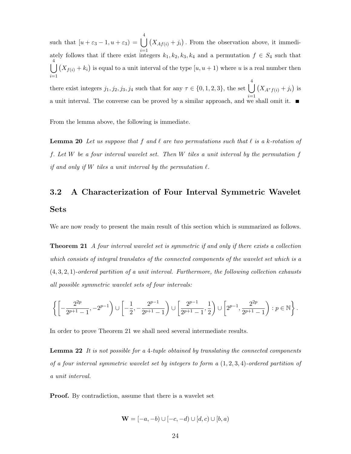such that  $[u + \varepsilon_3 - 1, u + \varepsilon_3] = \begin{bmatrix} \end{bmatrix}$ 4 ately follows that if there exist integers  $k_1, k_2, k_3, k_4$  and a permutation  $f \in S_4$  such that  $(X_{A f(i)} + j_i)$ . From the observation above, it immedi- $\int \int (X_{f(i)} + k_i)$  is equal to a unit interval of the type  $[u, u + 1)$  where u is a real number then  $i=1$ there exist integers  $j_1, j_2, j_3, j_4$  such that for any  $\tau \in \{0, 1, 2, 3\}$ , the set  $\Box$ 4  $i=1$  $(X_{A^{\tau}f(i)}+j_i)$  is a unit interval. The converse can be proved by a similar approach, and we shall omit it.

From the lemma above, the following is immediate.

**Lemma 20** Let us suppose that f and  $\ell$  are two permutations such that  $\ell$  is a k-rotation of f. Let W be a four interval wavelet set. Then W tiles a unit interval by the permutation f if and only if  $W$  tiles a unit interval by the permutation  $\ell$ .

## 3.2 A Characterization of Four Interval Symmetric Wavelet Sets

We are now ready to present the main result of this section which is summarized as follows.

**Theorem 21** A four interval wavelet set is symmetric if and only if there exists a collection which consists of integral translates of the connected components of the wavelet set which is a  $(4, 3, 2, 1)$ -ordered partition of a unit interval. Furthermore, the following collection exhausts all possible symmetric wavelet sets of four intervals:

$$
\left\{\left[-\frac{2^{2p}}{2^{p+1}-1},-2^{p-1}\right)\cup\left[-\frac{1}{2},-\frac{2^{p-1}}{2^{p+1}-1}\right)\cup\left[\frac{2^{p-1}}{2^{p+1}-1},\frac{1}{2}\right)\cup\left[2^{p-1},\frac{2^{2p}}{2^{p+1}-1}\right):p\in\mathbb{N}\right\}.
$$

In order to prove Theorem 21 we shall need several intermediate results.

**Lemma 22** It is not possible for a 4-tuple obtained by translating the connected components of a four interval symmetric wavelet set by integers to form a  $(1, 2, 3, 4)$ -ordered partition of a unit interval.

Proof. By contradiction, assume that there is a wavelet set

$$
\mathbf{W} = [-a, -b) \cup [-c, -d) \cup [d, c) \cup [b, a)
$$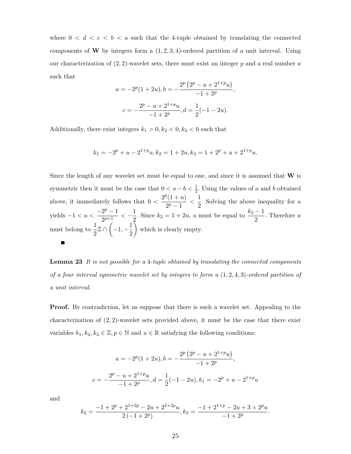where  $0 < d < c < b < a$  such that the 4-tuple obtained by translating the connected components of **W** by integers form a  $(1, 2, 3, 4)$ -ordered partition of a unit interval. Using our characterization of  $(2, 2)$ -wavelet sets, there must exist an integer p and a real number u such that

$$
a = -2^{p}(1+2u), b = -\frac{2^{p}(2^{p} - u + 2^{1+p}u)}{-1+2^{p}},
$$

$$
c = -\frac{2^{p} - u + 2^{1+p}u}{-1+2^{p}}, d = \frac{1}{2}(-1-2u).
$$

Additionally, there exist integers  $k_1 > 0, k_2 < 0, k_3 < 0$  such that

$$
k_1 = -2^p + u - 2^{1+p}u, k_2 = 1 + 2u, k_3 = 1 + 2^p + u + 2^{1+p}u.
$$

Since the length of any wavelet set must be equal to one, and since it is assumed that  $W$  is symmetric then it must be the case that  $0 < a - b < \frac{1}{2}$ . Using the values of a and b obtained above, it immediately follows that  $0 < \frac{2^p(1+u)}{2^p-1}$  $\frac{p(1+u)}{2^p-1} < \frac{1}{2}$  $\frac{1}{2}$ . Solving the above inequality for u yields  $-1 < u < \frac{-2^p - 1}{2p+1}$  $\frac{2^p-1}{2^{p+1}} < -\frac{1}{2}$  $\frac{1}{2}$ . Since  $k_2 = 1 + 2u$ , u must be equal to  $\frac{k_2 - 1}{2}$ . Therefore u must belong to  $\frac{1}{2}\mathbb{Z} \cap \left(-1, -\frac{1}{2}\right)$  which is clearly empty. 2 Ē

Lemma 23 It is not possible for a 4-tuple obtained by translating the connected components of a four interval symmetric wavelet set by integers to form a  $(1, 2, 4, 3)$ -ordered partition of a unit interval.

Proof. By contradiction, let us suppose that there is such a wavelet set. Appealing to the characterization of  $(2, 2)$ -wavelet sets provided above, it must be the case that there exist variables  $k_1, k_2, k_3 \in \mathbb{Z}, p \in \mathbb{N}$  and  $u \in \mathbb{R}$  satisfying the following conditions:

$$
a = -2^{p}(1+2u), b = -\frac{2^{p}(2^{p} - u + 2^{1+p}u)}{-1+2^{p}},
$$
  

$$
c = -\frac{2^{p} - u + 2^{1+p}u}{-1+2^{p}}, d = \frac{1}{2}(-1-2u), k_{1} = -2^{p} + u - 2^{1+p}u
$$

and

$$
k_2 = \frac{-1 + 2^p + 2^{1+2p} - 2u + 2^{2+2p}u}{2(-1+2^p)}, k_3 = \frac{-1 + 2^{1+p} - 2u + 3 \times 2^p u}{-1+2^p}.
$$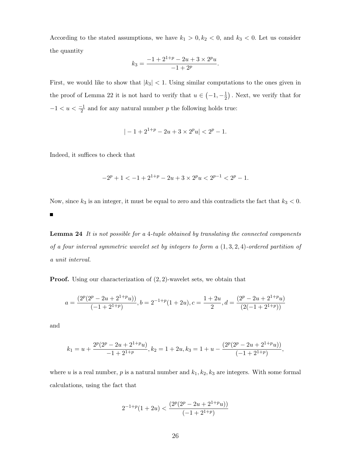According to the stated assumptions, we have  $k_1 > 0, k_2 < 0$ , and  $k_3 < 0$ . Let us consider the quantity

$$
k_3 = \frac{-1 + 2^{1+p} - 2u + 3 \times 2^p u}{-1 + 2^p}.
$$

First, we would like to show that  $|k_3|$  < 1. Using similar computations to the ones given in the proof of Lemma 22 it is not hard to verify that  $u \in \left(-1, -\frac{1}{2}\right)$  $(\frac{1}{2})$ . Next, we verify that for  $-1 < u < \frac{-1}{2}$  and for any natural number p the following holds true:

$$
|-1+2^{1+p}-2u+3\times 2^p u|<2^p-1.
$$

Indeed, it suffices to check that

$$
-2p + 1 < -1 + 21+p - 2u + 3 \times 2p u < 2p-1 < 2p - 1.
$$

Now, since  $k_3$  is an integer, it must be equal to zero and this contradicts the fact that  $k_3 < 0$ .

 $\blacksquare$ 

Lemma 24 It is not possible for a 4-tuple obtained by translating the connected components of a four interval symmetric wavelet set by integers to form a  $(1, 3, 2, 4)$ -ordered partition of a unit interval.

Proof. Using our characterization of (2, 2)-wavelet sets, we obtain that

$$
a = \frac{(2^p(2^p - 2u + 2^{1+p}u))}{(-1 + 2^{1+p})}, b = 2^{-1+p}(1 + 2u), c = \frac{1+2u}{2}, d = \frac{(2^p - 2u + 2^{1+p}u)}{(2(-1 + 2^{1+p}))}
$$

and

$$
k_1=u+\frac{2^p(2^p-2u+2^{1+p}u)}{-1+2^{1+p}}, k_2=1+2u, k_3=1+u-\frac{(2^p(2^p-2u+2^{1+p}u))}{(-1+2^{1+p})},
$$

where u is a real number, p is a natural number and  $k_1, k_2, k_3$  are integers. With some formal calculations, using the fact that

$$
2^{-1+p}(1+2u) < \frac{(2^p(2^p - 2u + 2^{1+p}u))}{(-1+2^{1+p})}
$$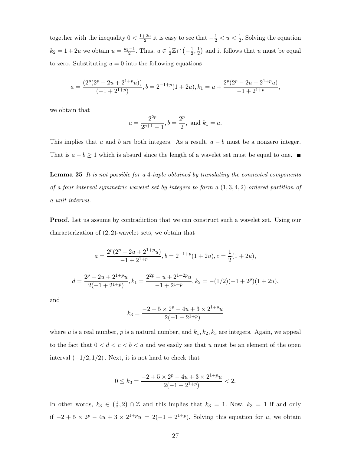together with the inequality  $0 < \frac{1+2u}{2}$  $\frac{1}{2}$  it is easy to see that  $-\frac{1}{2}$  < u <  $\frac{1}{2}$ . Solving the equation  $k_2 = 1 + 2u$  we obtain  $u = \frac{k_2 - 1}{2}$ . Thus,  $u \in \frac{1}{2}$  $\frac{1}{2}\mathbb{Z}\cap\left(-\frac{1}{2}\right)$  $\frac{1}{2}, \frac{1}{2}$  $\frac{1}{2}$  and it follows that u must be equal to zero. Substituting  $u = 0$  into the following equations

$$
a = \frac{(2^{p}(2^{p} - 2u + 2^{1+p}u))}{(-1 + 2^{1+p})}, b = 2^{-1+p}(1+2u), k_1 = u + \frac{2^{p}(2^{p} - 2u + 2^{1+p}u)}{-1 + 2^{1+p}},
$$

we obtain that

$$
a = \frac{2^{2p}}{2^{p+1} - 1}
$$
,  $b = \frac{2^p}{2}$ , and  $k_1 = a$ .

This implies that a and b are both integers. As a result,  $a - b$  must be a nonzero integer. That is  $a - b \ge 1$  which is absurd since the length of a wavelet set must be equal to one.

**Lemma 25** It is not possible for a 4-tuple obtained by translating the connected components of a four interval symmetric wavelet set by integers to form a  $(1, 3, 4, 2)$ -ordered partition of a unit interval.

Proof. Let us assume by contradiction that we can construct such a wavelet set. Using our characterization of (2, 2)-wavelet sets, we obtain that

$$
a = \frac{2^{p}(2^{p} - 2u + 2^{1+p}u)}{-1 + 2^{1+p}}, b = 2^{-1+p}(1 + 2u), c = \frac{1}{2}(1 + 2u),
$$

$$
d = \frac{2^p - 2u + 2^{1+p}u}{2(-1+2^{1+p})}, k_1 = \frac{2^{2p} - u + 2^{1+2p}u}{-1+2^{1+p}}, k_2 = -(1/2)(-1+2^p)(1+2u),
$$

and

$$
k_3 = \frac{-2 + 5 \times 2^p - 4u + 3 \times 2^{1+p}u}{2(-1 + 2^{1+p})}
$$

where u is a real number, p is a natural number, and  $k_1, k_2, k_3$  are integers. Again, we appeal to the fact that  $0 < d < c < b < a$  and we easily see that u must be an element of the open interval  $(-1/2, 1/2)$ . Next, it is not hard to check that

$$
0 \le k_3 = \frac{-2 + 5 \times 2^p - 4u + 3 \times 2^{1+p}u}{2(-1 + 2^{1+p})} < 2.
$$

In other words,  $k_3 \in \left(\frac{1}{2}\right)$  $(\frac{1}{2}, 2) \cap \mathbb{Z}$  and this implies that  $k_3 = 1$ . Now,  $k_3 = 1$  if and only if  $-2 + 5 \times 2^{p} - 4u + 3 \times 2^{1+p}u = 2(-1 + 2^{1+p})$ . Solving this equation for u, we obtain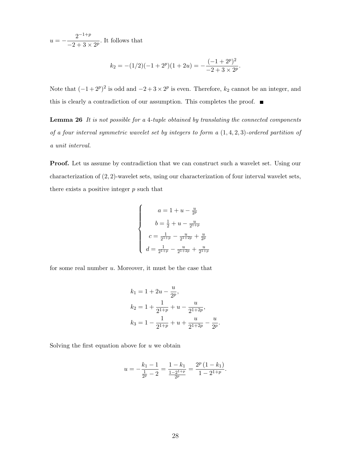$u = -\frac{2^{-1+p}}{2+p}$  $\frac{2}{-2+3\times 2^p}$ . It follows that

$$
k_2 = -(1/2)(-1+2^p)(1+2u) = -\frac{(-1+2^p)^2}{-2+3\times 2^p}.
$$

Note that  $(-1+2^p)^2$  is odd and  $-2+3\times 2^p$  is even. Therefore,  $k_2$  cannot be an integer, and this is clearly a contradiction of our assumption. This completes the proof.  $\blacksquare$ 

Lemma 26 It is not possible for a 4-tuple obtained by translating the connected components of a four interval symmetric wavelet set by integers to form a  $(1,4,2,3)$ -ordered partition of a unit interval.

Proof. Let us assume by contradiction that we can construct such a wavelet set. Using our characterization of (2, 2)-wavelet sets, using our characterization of four interval wavelet sets, there exists a positive integer  $p$  such that

$$
\begin{cases}\n a = 1 + u - \frac{u}{2^p} \\
 b = \frac{1}{2} + u - \frac{u}{2^{1+p}} \\
 c = \frac{1}{2^{1+p}} - \frac{u}{2^{1+2p}} + \frac{u}{2^p} \\
 d = \frac{1}{2^{1+p}} - \frac{u}{2^{1+2p}} + \frac{u}{2^{1+p}}\n\end{cases}
$$

for some real number  $u$ . Moreover, it must be the case that

$$
k_1 = 1 + 2u - \frac{u}{2^p},
$$
  
\n
$$
k_2 = 1 + \frac{1}{2^{1+p}} + u - \frac{u}{2^{1+2p}},
$$
  
\n
$$
k_3 = 1 - \frac{1}{2^{1+p}} + u + \frac{u}{2^{1+2p}} - \frac{u}{2^p}.
$$

Solving the first equation above for  $u$  we obtain

$$
u = -\frac{k_1 - 1}{\frac{1}{2^p} - 2} = \frac{1 - k_1}{\frac{1 - 2^{1+p}}{2^p}} = \frac{2^p (1 - k_1)}{1 - 2^{1+p}}.
$$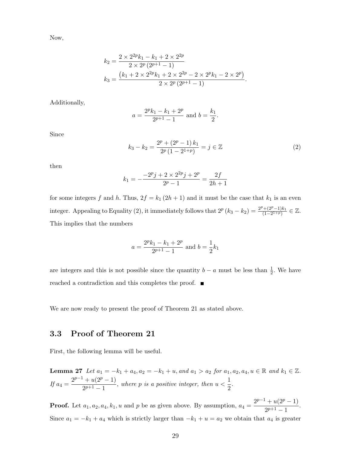Now,

$$
k_2 = \frac{2 \times 2^{2p} k_1 - k_1 + 2 \times 2^{2p}}{2 \times 2^p (2^{p+1} - 1)}
$$
  
\n
$$
k_3 = \frac{(k_1 + 2 \times 2^{2p} k_1 + 2 \times 2^{2p} - 2 \times 2^p k_1 - 2 \times 2^p)}{2 \times 2^p (2^{p+1} - 1)}.
$$

Additionally,

$$
a = \frac{2^p k_1 - k_1 + 2^p}{2^{p+1} - 1}
$$
 and  $b = \frac{k_1}{2}$ .

Since

$$
k_3 - k_2 = \frac{2^p + (2^p - 1)k_1}{2^p (1 - 2^{1+p})} = j \in \mathbb{Z}
$$
\n(2)

then

$$
k_1 = -\frac{-2^p j + 2 \times 2^{2p} j + 2^p}{2^p - 1} = \frac{2f}{2h + 1}
$$

for some integers f and h. Thus,  $2f = k_1 (2h + 1)$  and it must be the case that  $k_1$  is an even integer. Appealing to Equality (2), it immediately follows that  $2^p (k_3 - k_2) = \frac{2^p + (2^p - 1)k_1}{(1 - 2^{1+p})}$  $\frac{(1-(2^p-1)k_1)}{(1-2^{1+p})} \in \mathbb{Z}.$ This implies that the numbers

$$
a = \frac{2^p k_1 - k_1 + 2^p}{2^{p+1} - 1}
$$
 and  $b = \frac{1}{2} k_1$ 

are integers and this is not possible since the quantity  $b - a$  must be less than  $\frac{1}{2}$ . We have reached a contradiction and this completes the proof.

We are now ready to present the proof of Theorem 21 as stated above.

## 3.3 Proof of Theorem 21

First, the following lemma will be useful.

**Lemma 27** Let 
$$
a_1 = -k_1 + a_4
$$
,  $a_2 = -k_1 + u$ , and  $a_1 > a_2$  for  $a_1, a_2, a_4, u \in \mathbb{R}$  and  $k_1 \in \mathbb{Z}$ .  
If  $a_4 = \frac{2^{p-1} + u(2^p - 1)}{2^{p+1} - 1}$ , where *p* is a positive integer, then  $u < \frac{1}{2}$ .

**Proof.** Let  $a_1, a_2, a_4, k_1, u$  and p be as given above. By assumption,  $a_4 = \frac{2^{p-1} + u(2^p - 1)}{2^{p+1} - 1}$  $\frac{2^{p+1}-1}{2^{p+1}-1}.$ Since  $a_1 = -k_1 + a_4$  which is strictly larger than  $-k_1 + u = a_2$  we obtain that  $a_4$  is greater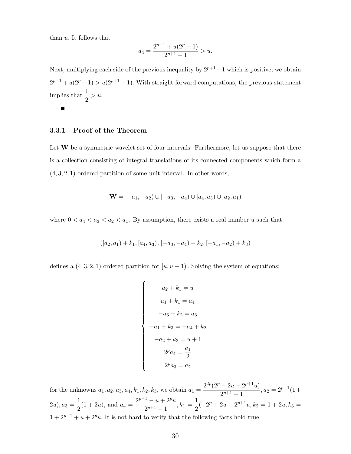than  $u$ . It follows that

$$
a_4 = \frac{2^{p-1} + u(2^p - 1)}{2^{p+1} - 1} > u.
$$

Next, multiplying each side of the previous inequality by  $2^{p+1}-1$  which is positive, we obtain  $2^{p-1} + u(2^p - 1) > u(2^{p+1} - 1)$ . With straight forward computations, the previous statement implies that  $\frac{1}{2} > u$ .

 $\blacksquare$ 

#### 3.3.1 Proof of the Theorem

Let  $W$  be a symmetric wavelet set of four intervals. Furthermore, let us suppose that there is a collection consisting of integral translations of its connected components which form a  $(4, 3, 2, 1)$ -ordered partition of some unit interval. In other words,

$$
\mathbf{W} = [-a_1, -a_2) \cup [-a_3, -a_4) \cup [a_4, a_3) \cup [a_2, a_1)
$$

where  $0 < a_4 < a_3 < a_2 < a_1$ . By assumption, there exists a real number u such that

$$
\left(\left[a_2, a_1\right) + k_1, \left[a_4, a_3\right), \left[-a_3, -a_4\right) + k_2, \left[-a_1, -a_2\right) + k_3\right)
$$

defines a  $(4, 3, 2, 1)$ -ordered partition for  $[u, u + 1)$ . Solving the system of equations:

$$
\begin{cases}\n a_2 + k_1 = u \\
 a_1 + k_1 = a_4 \\
 -a_3 + k_2 = a_3 \\
 -a_1 + k_3 = -a_4 + k_2 \\
 -a_2 + k_3 = u + 1 \\
 2^p a_4 = \frac{a_1}{2} \\
 2^p a_3 = a_2\n\end{cases}
$$

for the unknowns  $a_1, a_2, a_3, a_4, k_1, k_2, k_3$ , we obtain  $a_1 = \frac{2^{2p}(2^p - 2u + 2^{p+1}u)}{2^{p+1}-1}$  $\frac{-2a+2-a}{2^{p+1}-1}, a_2 = 2^{p-1}(1+$  $(2u), a_3 = \frac{1}{2}$  $\frac{1}{2}(1+2u)$ , and  $a_4 = \frac{2^{p-1} - u + 2^p u}{2^{p+1} - 1}$  $\frac{1-u+2^p u}{2^{p+1}-1}, k_1=\frac{1}{2}$  $\frac{1}{2}(-2^p + 2u - 2^{p+1}u, k_2 = 1 + 2u, k_3 =$  $1 + 2^{p-1} + u + 2^p u$ . It is not hard to verify that the following facts hold true: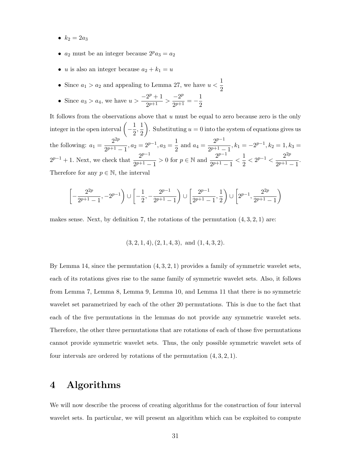- $k_2 = 2a_3$
- $a_2$  must be an integer because  $2^p a_3 = a_2$
- u is also an integer because  $a_2 + k_1 = u$
- Since  $a_1 > a_2$  and appealing to Lemma 27, we have  $u < \frac{1}{2}$ 2
- Since  $a_3 > a_4$ , we have  $u > \frac{-2^p + 1}{2^{p+1}}$  $\frac{2^p+1}{2^{p+1}} > \frac{-2^p}{2^{p+1}}$  $\frac{-2^p}{2^{p+1}} = -\frac{1}{2}$ 2

It follows from the observations above that  $u$  must be equal to zero because zero is the only integer in the open interval  $\left(-\frac{1}{2}\right)$  $\frac{1}{2},\frac{1}{2}$ 2 ). Substituting  $u = 0$  into the system of equations gives us the following:  $a_1 = \frac{2^{2p}}{2^{p+1}}$  $\frac{2^{2p}}{2^{p+1}-1}$ ,  $a_2=2^{p-1}$ ,  $a_3=\frac{1}{2}$  $\frac{1}{2}$  and  $a_4 = \frac{2^{p-1}}{2^{p+1} - 1}$  $\frac{2^2}{2^{p+1}-1}$ ,  $k_1 = -2^{p-1}$ ,  $k_2 = 1$ ,  $k_3 =$  $2^{p-1}+1$ . Next, we check that  $\frac{2^{p-1}}{2^{p+1}}$  $\frac{2^{p-1}}{2^{p+1}-1} > 0$  for  $p \in \mathbb{N}$  and  $\frac{2^{p-1}}{2^{p+1}-1}$  $\frac{2^{p-1}}{2^{p+1}-1}<\frac{1}{2}$  $\frac{1}{2}$  <  $2^{p-1}$  <  $\frac{2^{2p}}{2^{p+1}}$ .  $\frac{2^{p+1}-1}{2^{p+1}-1}$ . Therefore for any  $p \in \mathbb{N}$ , the interval

$$
\left[-\frac{2^{2p}}{2^{p+1}-1},-2^{p-1}\right)\cup\left[-\frac{1}{2},-\frac{2^{p-1}}{2^{p+1}-1}\right)\cup\left[\frac{2^{p-1}}{2^{p+1}-1},\frac{1}{2}\right)\cup\left[2^{p-1},\frac{2^{2p}}{2^{p+1}-1}\right)
$$

makes sense. Next, by definition 7, the rotations of the permutation  $(4, 3, 2, 1)$  are:

 $(3, 2, 1, 4), (2, 1, 4, 3), \text{ and } (1, 4, 3, 2).$ 

By Lemma 14, since the permutation  $(4, 3, 2, 1)$  provides a family of symmetric wavelet sets, each of its rotations gives rise to the same family of symmetric wavelet sets. Also, it follows from Lemma 7, Lemma 8, Lemma 9, Lemma 10, and Lemma 11 that there is no symmetric wavelet set parametrized by each of the other 20 permutations. This is due to the fact that each of the five permutations in the lemmas do not provide any symmetric wavelet sets. Therefore, the other three permutations that are rotations of each of those five permutations cannot provide symmetric wavelet sets. Thus, the only possible symmetric wavelet sets of four intervals are ordered by rotations of the permutation  $(4, 3, 2, 1)$ .

## 4 Algorithms

We will now describe the process of creating algorithms for the construction of four interval wavelet sets. In particular, we will present an algorithm which can be exploited to compute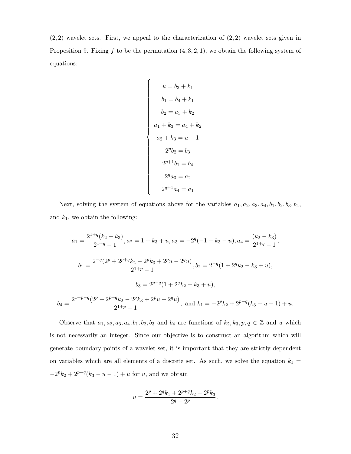$(2, 2)$  wavelet sets. First, we appeal to the characterization of  $(2, 2)$  wavelet sets given in Proposition 9. Fixing  $f$  to be the permutation  $(4, 3, 2, 1)$ , we obtain the following system of equations:

$$
\begin{cases}\n u = b_3 + k_1 \\
 b_1 = b_4 + k_1 \\
 b_2 = a_3 + k_2 \\
 a_1 + k_3 = a_4 + k_2 \\
 a_2 + k_3 = u + 1 \\
 2^p b_2 = b_3 \\
 2^{p+1} b_1 = b_4 \\
 2^q a_3 = a_2 \\
 2^{q+1} a_4 = a_1\n\end{cases}
$$

Next, solving the system of equations above for the variables  $a_1, a_2, a_3, a_4, b_1, b_2, b_3, b_4$ , and  $k_1$ , we obtain the following:

$$
a_1 = \frac{2^{1+q}(k_2 - k_3)}{2^{1+q} - 1}, a_2 = 1 + k_3 + u, a_3 = -2^q(-1 - k_3 - u), a_4 = \frac{(k_2 - k_3)}{2^{1+q} - 1},
$$
  

$$
b_1 = \frac{2^{-q}(2^p + 2^{p+q}k_2 - 2^p k_3 + 2^p u - 2^q u)}{2^{1+p} - 1}, b_2 = 2^{-q}(1 + 2^q k_2 - k_3 + u),
$$
  

$$
b_3 = 2^{p-q}(1 + 2^q k_2 - k_3 + u),
$$
  

$$
b_4 = \frac{2^{1+p-q}(2^p + 2^{p+q}k_2 - 2^p k_3 + 2^p u - 2^q u)}{2^{1+p} - 1}, \text{ and } k_1 = -2^p k_2 + 2^{p-q}(k_3 - u - 1) + u.
$$

Observe that  $a_1, a_2, a_3, a_4, b_1, b_2, b_3$  and  $b_4$  are functions of  $k_2, k_3, p, q \in \mathbb{Z}$  and u which is not necessarily an integer. Since our objective is to construct an algorithm which will generate boundary points of a wavelet set, it is important that they are strictly dependent on variables which are all elements of a discrete set. As such, we solve the equation  $k_1 =$  $-2^p k_2 + 2^{p-q}(k_3 - u - 1) + u$  for u, and we obtain

$$
u=\frac{2^p+2^q k_1+2^{p+q} k_2-2^p k_3}{2^q-2^p}.
$$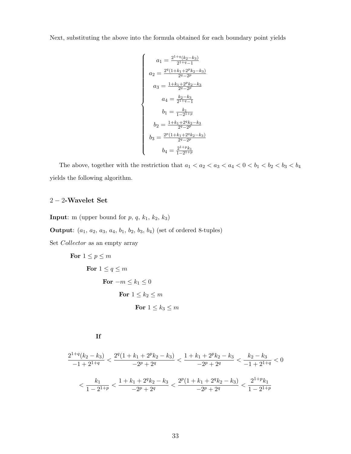Next, substituting the above into the formula obtained for each boundary point yields

$$
\begin{cases}\na_1 = \frac{2^{1+q}(k_2 - k_3)}{2^{1+q} - 1} \\
a_2 = \frac{2^q(1 + k_1 + 2^p k_2 - k_3)}{2^q - 2^p} \\
a_3 = \frac{1 + k_1 + 2^p k_2 - k_3}{2^q - 2^p} \\
a_4 = \frac{k_2 - k_3}{2^{1+q} - 1} \\
b_1 = \frac{k_1}{1 - 2^{1+p}} \\
b_2 = \frac{1 + k_1 + 2^q k_2 - k_3}{2^q - 2^p} \\
b_3 = \frac{2^p(1 + k_1 + 2^q k_2 - k_3)}{2^q - 2^p} \\
b_4 = \frac{2^{1+p} k_1}{1 - 2^{1+p}}\n\end{cases}
$$

The above, together with the restriction that  $a_1 < a_2 < a_3 < a_4 < 0 < b_1 < b_2 < b_3 < b_4$ yields the following algorithm.

## $2-2\mbox{-}\ensuremath{\mathbf{W}}$  avelet Set

**Input:** m (upper bound for  $p$ ,  $q$ ,  $k_1$ ,  $k_2$ ,  $k_3$ )

**Output**:  $(a_1, a_2, a_3, a_4, b_1, b_2, b_3, b_4)$  (set of ordered 8-tuples)

Set Collector as an empty array

For 
$$
1 \le p \le m
$$
  
\nFor  $1 \le q \le m$   
\nFor  $-m \le k_1 \le 0$   
\nFor  $1 \le k_2 \le m$   
\nFor  $1 \le k_3 \le m$ 

If

$$
\frac{2^{1+q}(k_2 - k_3)}{-1+2^{1+q}} < \frac{2^q(1+k_1 + 2^p k_2 - k_3)}{-2^p + 2^q} < \frac{1+k_1 + 2^p k_2 - k_3}{-2^p + 2^q} < \frac{k_2 - k_3}{-1 + 2^{1+q}} < 0
$$
\n
$$
\left( \frac{k_1}{1-2^{1+p}} < \frac{1+k_1 + 2^q k_2 - k_3}{-2^p + 2^q} < \frac{2^p(1+k_1 + 2^q k_2 - k_3)}{-2^p + 2^q} < \frac{2^{1+p} k_1}{1-2^{1+p}}
$$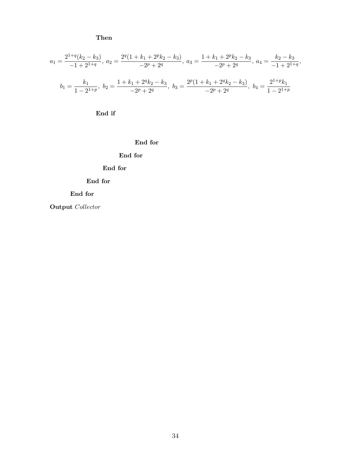Then

$$
a_1 = \frac{2^{1+q}(k_2 - k_3)}{-1+2^{1+q}}, \ a_2 = \frac{2^q(1+k_1+2^p k_2 - k_3)}{-2^p + 2^q}, \ a_3 = \frac{1+k_1+2^p k_2 - k_3}{-2^p + 2^q}, \ a_4 = \frac{k_2 - k_3}{-1+2^{1+q}},
$$

$$
b_1 = \frac{k_1}{1-2^{1+p}}, \ b_2 = \frac{1+k_1+2^q k_2 - k_3}{-2^p + 2^q}, \ b_3 = \frac{2^p(1+k_1+2^q k_2 - k_3)}{-2^p + 2^q}, \ b_4 = \frac{2^{1+p} k_1}{1-2^{1+p}}
$$

End if

End for

### End for

## End for

#### End for

### End for

Output Collector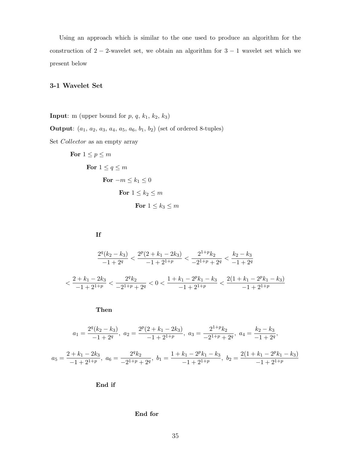Using an approach which is similar to the one used to produce an algorithm for the construction of  $2 - 2$ -wavelet set, we obtain an algorithm for  $3 - 1$  wavelet set which we present below

#### 3-1 Wavelet Set

**Input:** m (upper bound for  $p$ ,  $q$ ,  $k_1$ ,  $k_2$ ,  $k_3$ )

**Output:**  $(a_1, a_2, a_3, a_4, a_5, a_6, b_1, b_2)$  (set of ordered 8-tuples)

Set Collector as an empty array

For 
$$
1 \le p \le m
$$
  
\nFor  $1 \le q \le m$   
\nFor  $-m \le k_1 \le 0$   
\nFor  $1 \le k_2 \le m$   
\nFor  $1 \le k_3 \le m$ 

$$
\mathbf{If}
$$

$$
\frac{2^q (k_2 - k_3)}{-1 + 2^q} < \frac{2^p (2 + k_1 - 2k_3)}{-1 + 2^{1 + p}} < \frac{2^{1 + p} k_2}{-2^{1 + p} + 2^q} < \frac{k_2 - k_3}{-1 + 2^q}
$$
\n
$$
\frac{2 + k_1 - 2k_3}{-1 + 2^{1 + p}} < \frac{2^q k_2}{-2^{1 + p} + 2^q} < 0 < \frac{1 + k_1 - 2^p k_1 - k_3}{-1 + 2^{1 + p}} < \frac{2(1 + k_1 - 2^p k_1 - k_3)}{-1 + 2^{1 + p}}
$$

Then

$$
a_1 = \frac{2^q (k_2 - k_3)}{-1 + 2^q}, \ a_2 = \frac{2^p (2 + k_1 - 2k_3)}{-1 + 2^{1+p}}, \ a_3 = \frac{2^{1+p} k_2}{-2^{1+p} + 2^q}, \ a_4 = \frac{k_2 - k_3}{-1 + 2^q},
$$

$$
a_5 = \frac{2 + k_1 - 2k_3}{-1 + 2^{1+p}}, \ a_6 = \frac{2^q k_2}{-2^{1+p} + 2^q}, \ b_1 = \frac{1 + k_1 - 2^p k_1 - k_3}{-1 + 2^{1+p}}, \ b_2 = \frac{2(1 + k_1 - 2^p k_1 - k_3)}{-1 + 2^{1+p}}
$$

End if

#### End for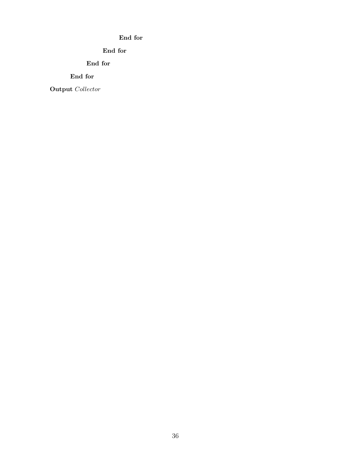### End for

### End for

End for

End for

Output Collector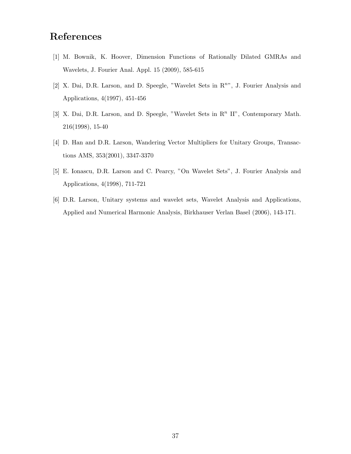## References

- [1] M. Bownik, K. Hoover, Dimension Functions of Rationally Dilated GMRAs and Wavelets, J. Fourier Anal. Appl. 15 (2009), 585-615
- [2] X. Dai, D.R. Larson, and D. Speegle, "Wavelet Sets in  $\mathbb{R}^{n}$ ", J. Fourier Analysis and Applications, 4(1997), 451-456
- [3] X. Dai, D.R. Larson, and D. Speegle, "Wavelet Sets in  $\mathbb{R}^n$  II", Contemporary Math. 216(1998), 15-40
- [4] D. Han and D.R. Larson, Wandering Vector Multipliers for Unitary Groups, Transactions AMS, 353(2001), 3347-3370
- [5] E. Ionascu, D.R. Larson and C. Pearcy, "On Wavelet Sets", J. Fourier Analysis and Applications, 4(1998), 711-721
- [6] D.R. Larson, Unitary systems and wavelet sets, Wavelet Analysis and Applications, Applied and Numerical Harmonic Analysis, Birkhauser Verlan Basel (2006), 143-171.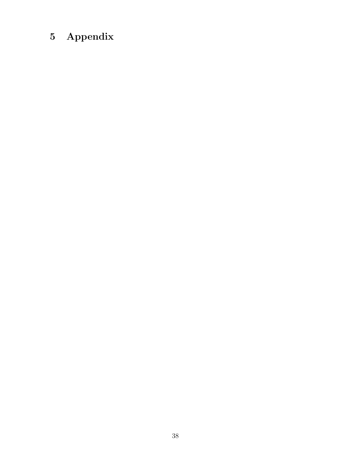## 5 Appendix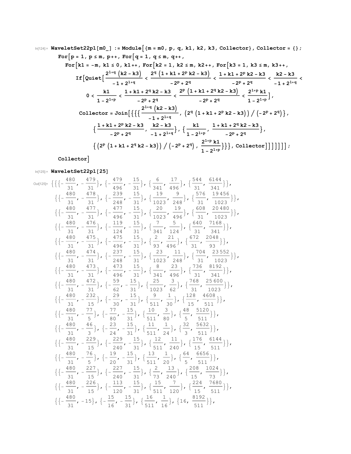$$
\ln[124] = \text{WaveletSet22pl} [m0_1] := \text{Module} \Big\{ \{ m = m0, p, q, k1, k2, k3, Collector \}, Collector = \{\};
$$
\n
$$
\text{For} \Big[ p = 1, p \le m, p++, \text{ For} \Big[ q = 1, q \le m, q++,
$$
\n
$$
\text{For} \Big[ k1 = -m, k1 \le 0, k1++, \text{ For} \Big[ k2 = 1, k2 \le m, k2++, \text{ For} \Big[ k3 = 1, k3 \le m, k3++,
$$
\n
$$
\text{If} \Big[ \text{Quick} \Big[ \frac{2^{1+q} (k2 - k3)}{-1 + 2^{1+q}} < \frac{2^q (1 + k1 + 2^p k2 - k3)}{-2^p + 2^q} < \frac{1 + k1 + 2^p k2 - k3}{-2^p + 2^q} < \frac{k2 - k3}{-1 + 2^{1+q}} < \frac{k1 - k1 + 2^q k2 - k3}{1 - 2^{1+p}} < \frac{2^p (1 + k1 + 2^q k2 - k3)}{-2^p + 2^q} < \frac{2^{1+p} k1}{1 - 2^{1+p}} \Big] \Big\}
$$
\n
$$
\text{Collector} = \text{Join} \Big[ \Big\{ \Big\{ \frac{2^{1+q} (k2 - k3)}{-1 + 2^{1+q}}, \Big( 2^q (1 + k1 + 2^p k2 - k3) \Big) / \Big( -2^p + 2^q \Big) \Big\}, \Big\{ \frac{1 + k1 + 2^p k2 - k3}{-2^p + 2^q}, \frac{k2 - k3}{-1 + 2^{1+q}} \Big\}, \Big\{ \frac{1}{1 - 2^{1+p}} \Big\}, \frac{1 + k1 + 2^q k2 - k3}{-2^p + 2^q} \Big\}, \Big\{ \Big( 2^p (1 + k1 + 2^q k2 - k3) \Big) / \Big( -2^p + 2^q \Big), \frac{2^{1+p} k1}{1 - 2^{1+p}} \Big\} \Big\}, \text{ Collector} \Big] \Big] \Big] \Big] \Big] \Big\}
$$

## **Collector**

## In[125]:= **WaveletSet22p1[25]**

 $Out[125]$ =

$$
\begin{aligned}\n\mathbf{H} &= \{ \left\{ \left\{ -\frac{480}{31}, -\frac{479}{31} \right\}, \left\{ -\frac{479}{496}, -\frac{15}{31} \right\}, \left\{ \frac{6}{341}, \frac{17}{496} \right\}, \left\{ \frac{544}{31}, \frac{6144}{341} \right\} \right\}, \\
\mathbf{H} &= \frac{480}{31}, -\frac{478}{31}, \left\{ -\frac{239}{248}, -\frac{15}{31} \right\}, \left\{ \frac{19}{1023}, \frac{9}{248} \right\}, \left\{ \frac{576}{31}, \frac{19456}{1023} \right\}, \\
\mathbf{H} &= \frac{480}{31}, -\frac{477}{31}, \left\{ -\frac{477}{496}, -\frac{15}{31} \right\}, \left\{ \frac{20}{1023}, \frac{19}{496} \right\}, \left\{ \frac{63}{31}, \frac{20480}{31023} \right\}, \\
\mathbf{H} &= \frac{480}{31}, -\frac{476}{31}, \left\{ -\frac{119}{124}, -\frac{15}{31} \right\}, \left\{ \frac{7}{341}, \frac{5}{124} \right\}, \left\{ \frac{640}{31}, \frac{7168}{341} \right\}, \\
\mathbf{H} &= \frac{480}{31}, -\frac{473}{31}, \left\{ -\frac{475}{248}, -\frac{15}{31} \right\}, \left\{ \frac{2}{93}, \frac{21}{496} \right\}, \left\{ \frac{672}{31}, \frac{20480}{93} \right\}, \\
\mathbf{H} &= \frac{480}{31}, -\frac{473}{31}, \left\{ -\frac{237}{248}, -\frac{15}{31} \right\}, \left\{ \frac{23}{32}, \frac{11}{248} \right\}, \left\{ \frac{736}{31}, \frac{23552}{1023} \right\}, \\
\mathbf{H} &= \frac{480}{31}, -\frac{473}{31}, \left\{
$$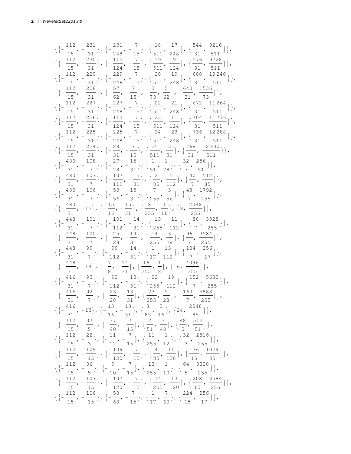$\left\{\left\{-\frac{112}{15}, -\frac{231}{31}\right\}, \left\{-\frac{231}{248}, -\frac{7}{15}\right\}, \left\{\frac{18}{511}, \frac{17}{248}\right\}, \left\{\frac{544}{31}, \frac{9216}{511}\right\}\right\},$  $\left\{\left\{-\frac{112}{15}, -\frac{230}{31}\right\}, \left\{-\frac{115}{124}, -\frac{7}{15}\right\}, \left\{\frac{19}{511}, \frac{9}{124}\right\}, \left\{\frac{576}{31}, \frac{9728}{511}\right\}\right\},$  $\left\{\left\{-\frac{112}{15}, -\frac{229}{31}\right\}, \left\{-\frac{229}{248}, -\frac{7}{15}\right\}, \left\{\frac{20}{511}, \frac{19}{248}\right\}, \left\{\frac{608}{31}, \frac{10240}{511}\right\}\right\},$  $\left\{\left\{-\frac{112}{15}, -\frac{228}{31}\right\}, \left\{-\frac{57}{62}, -\frac{7}{15}\right\}, \left\{\frac{3}{73}, \frac{5}{62}\right\}, \left\{\frac{640}{31}, \frac{1536}{73}\right\}\right\},\right\}$  $\left\{\left\{-\frac{112}{15}, -\frac{227}{31}\right\}, \left\{-\frac{227}{248}, -\frac{7}{15}\right\}, \left\{\frac{22}{511}, \frac{21}{248}\right\}, \left\{\frac{672}{31}, \frac{11264}{511}\right\}\right\},$  $\left\{\left\{-\frac{112}{15}, -\frac{226}{31}\right\}, \left\{-\frac{113}{124}, -\frac{7}{15}\right\}, \left\{\frac{23}{511}, \frac{11}{124}\right\}, \left\{\frac{704}{31}, \frac{11776}{511}\right\}\right\},$  $\left\{\left\{-\frac{112}{15}, -\frac{225}{31}\right\}, \left\{-\frac{225}{248}, -\frac{7}{15}\right\}, \left\{\frac{24}{511}, \frac{23}{248}\right\}, \left\{\frac{736}{31}, \frac{12288}{511}\right\}\right\},$  $\left\{\left\{-\frac{112}{15}, -\frac{224}{31}\right\}, \left\{-\frac{28}{31}, -\frac{7}{15}\right\}, \left\{\frac{25}{511}, \frac{3}{31}\right\}, \left\{\frac{768}{31}, \frac{12800}{511}\right\}\right\},$  $\left\{\left\{-\frac{480}{31}, -\frac{108}{7}\right\}, \left\{-\frac{27}{28}, -\frac{15}{31}\right\}, \left\{\frac{1}{51}, \frac{1}{28}\right\}, \left\{\frac{32}{7}, \frac{256}{51}\right\}\right\},$  $\left\{\left\{-\frac{480}{31}, -\frac{107}{7}\right\}, \left\{-\frac{107}{112}, -\frac{15}{31}\right\}, \left\{\frac{2}{85}, \frac{5}{112}\right\}, \left\{\frac{40}{7}, \frac{512}{85}\right\}\right\},$  $\left\{\left\{-\frac{480}{31}, -\frac{106}{7}\right\}, \left\{-\frac{53}{56}, -\frac{15}{31}\right\}, \left\{\frac{7}{255}, \frac{3}{56}\right\}, \left\{\frac{48}{7}, \frac{1792}{255}\right\}\right\},$  $\left\{\left\{-\frac{480}{31}, -15\right\}, \left\{-\frac{15}{16}, -\frac{15}{31}\right\}, \left\{\frac{8}{255}, \frac{1}{16}\right\}, \left\{8, \frac{2048}{255}\right\}\right\},$  $\left\{\left\{-\frac{448}{31}, -\frac{101}{7}\right\}, \left\{-\frac{101}{112}, -\frac{14}{31}\right\}, \left\{\frac{13}{255}, \frac{11}{112}\right\}, \left\{\frac{88}{7}, \frac{3328}{255}\right\}\right\},$  $\left\{\left\{-\frac{448}{31}, -\frac{100}{7}\right\}, \left\{-\frac{25}{28}, -\frac{14}{31}\right\}, \left\{\frac{14}{255}, \frac{3}{28}\right\}, \left\{\frac{96}{7}, \frac{3584}{255}\right\}\right\},$  $\left\{\left\{-\frac{448}{31}, -\frac{99}{7}\right\}, \left\{-\frac{99}{112}, -\frac{14}{31}\right\}, \left\{\frac{1}{17}, \frac{13}{112}\right\}, \left\{\frac{104}{7}, \frac{256}{17}\right\}\right\},$  $\left\{ \left\{ -\frac{448}{31}, -14 \right\}, \left\{ -\frac{7}{8} \right\}$ ,  $-\frac{14}{31}$ ,  $\left\{\frac{16}{255}, \frac{1}{8}\right\}$ },  $\{16, \frac{4096}{255}\}\},$  $\left\{\left\{-\frac{416}{31}, -\frac{93}{7}\right\}, \left\{-\frac{93}{112}, -\frac{13}{31}\right\}, \left\{\frac{22}{255}, \frac{19}{112}\right\}, \left\{\frac{152}{7}, \frac{5632}{255}\right\}\right\},$  $\left\{\left\{-\frac{416}{31}, -\frac{92}{7}\right\}, \left\{-\frac{23}{28}, -\frac{13}{31}\right\}, \left\{\frac{23}{255}, \frac{5}{28}\right\}, \left\{\frac{160}{7}, \frac{5888}{255}\right\}\right\},$  $\left\{\left\{-\frac{416}{31}, -13\right\}, \left\{-\frac{13}{16}, -\frac{13}{31}\right\}, \left\{\frac{8}{85}, \frac{3}{16}\right\}, \left\{24, \frac{2048}{85}\right\}\right\},$  $\left\{\left\{-\frac{112}{15}, -\frac{37}{5}\right\}, \left\{-\frac{37}{40}, -\frac{7}{15}\right\}, \left\{\frac{2}{51}, \frac{3}{40}\right\}, \left\{\frac{48}{5}, \frac{512}{51}\right\}\right\},$  $\left\{\left\{-\frac{112}{15}, -\frac{22}{3}\right\}, \left\{-\frac{11}{12}, -\frac{7}{15}\right\}, \left\{\frac{11}{255}, \frac{1}{12}\right\}, \left\{\frac{32}{3}, \frac{2816}{255}\right\}\right\},\right\}$  $\left\{\left\{-\frac{112}{15}, -\frac{109}{15}\right\}, \left\{-\frac{109}{120}, -\frac{7}{15}\right\}, \left\{\frac{4}{85}, \frac{11}{120}\right\}, \left\{\frac{176}{15}, \frac{1024}{85}\right\}\right\},\right\}$  $\left\{\left\{-\frac{112}{15}, -\frac{36}{5}\right\}, \left\{-\frac{9}{10}, -\frac{7}{15}\right\}, \left\{\frac{13}{255}, \frac{1}{10}\right\}, \left\{\frac{64}{5}, \frac{3328}{255}\right\}\right\},\right\}$  $\left\{\left\{-\frac{112}{15}, -\frac{107}{15}\right\}, \left\{-\frac{107}{120}, -\frac{7}{15}\right\}, \left\{\frac{14}{255}, \frac{13}{120}\right\}, \left\{\frac{208}{15}, \frac{3584}{255}\right\}\right\},$  $\left\{\left\{-\frac{112}{15}, -\frac{106}{15}\right\}, \left\{-\frac{53}{60}, -\frac{7}{15}\right\}, \left\{\frac{1}{17}, \frac{7}{60}\right\}, \left\{\frac{224}{15}, \frac{256}{17}\right\}\right\},$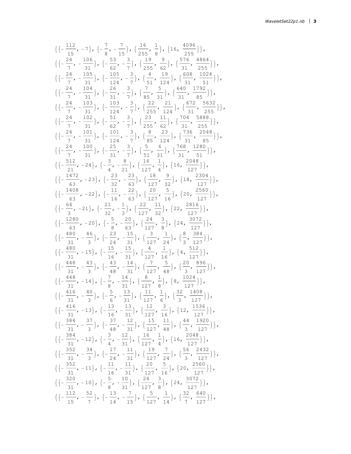$$
\{[-\frac{112}{15}, -7\}, \{-\frac{7}{8}, -\frac{7}{15}\}, \{\frac{16}{255}, \frac{1}{8}\}, \{16, \frac{4096}{255}\}\},\
$$
  

$$
\{[-\frac{24}{7}, -\frac{105}{31}\}, \{-\frac{53}{25}, -\frac{3}{7}\}, \{\frac{16}{255}, \frac{9}{62}\}, \{\frac{576}{31}, \frac{4664}{325}\}\},\
$$
  

$$
\{[-\frac{24}{7}, -\frac{105}{31}\}, \{-\frac{26}{124}, -\frac{3}{7}\}, \{\frac{4}{51}, \frac{19}{124}\}, \{\frac{608}{31}, \frac{1024}{531}\}\},\
$$
  

$$
\{[-\frac{24}{7}, -\frac{104}{31}\}, \{-\frac{26}{124}, -\frac{3}{7}\}, \{\frac{4}{51}, \frac{19}{124}\}, \{\frac{640}{31}, \frac{1792}{55}\}\},\
$$
  

$$
\{[-\frac{24}{7}, -\frac{103}{31}\}, \{-\frac{26}{124}, -\frac{3}{7}\}, \{\frac{22}{255}, \frac{21}{124}\}, \{\frac{672}{31}, \frac{5632}{255}\}\},\
$$
  

$$
\{[-\frac{24}{7}, -\frac{102}{31}\}, \{-\frac{103}{124}, -\frac{3}{7}\}, \{\frac{22}{255}, \frac{21}{624}\}, \{\frac{736}{31}, \frac{2048}{255}\}\},\
$$
  

$$
\{[-\frac{24}{7}, -\frac{100}{31}\}, \{-\frac{25}{124}, -\frac{3}{7}\}, \{\frac{6}{55}, \frac{23}{124}\}, \{\frac{736}{31}, \frac{2048}{255}\}\},\
$$
  

$$
\{[-\frac{24}{7}, -\frac{100}{31}\}, \{-\frac{25}{124}, -\frac{3}{7}\}, \{\frac{6}{55}, \frac{23}{124}\}, \{\frac{768}{127}, \frac{
$$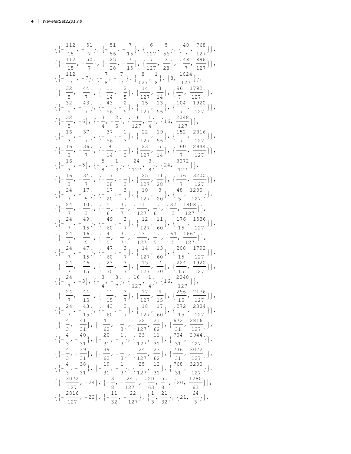$\{\left\{-\frac{112}{15}, -\frac{51}{7}\right\}, \left\{-\frac{51}{56}, -\frac{7}{15}\right\}, \left\{\frac{6}{127}, \frac{5}{56}\right\}, \left\{\frac{40}{7}, \frac{768}{127}\right\}\right\}$  $\{\left\{-\frac{112}{15}, -\frac{50}{7}\right\}, \left\{-\frac{25}{28}, -\frac{7}{15}\right\}, \left\{\frac{7}{127}, \frac{3}{28}\right\}, \left\{\frac{48}{7}, \frac{896}{127}\right\}\right\}$  $\left\{\left\{-\frac{112}{15}, -7\right\}, \left\{-\frac{7}{8}, -\frac{7}{15}\right\}, \left\{\frac{8}{127}, \frac{1}{8}\right\}, \left\{8, \frac{1024}{127}\right\}\right\}$  $\left\{\left\{-\frac{32}{5},-\frac{44}{7}\right\},\left\{-\frac{11}{14},-\frac{2}{5}\right\},\left\{\frac{14}{127},\frac{3}{14}\right\},\left\{\frac{96}{7},\frac{1792}{127}\right\}\right\},$  $\left\{\left\{-\frac{32}{5},-\frac{43}{7}\right\},\left\{-\frac{43}{56},-\frac{2}{5}\right\},\left\{\frac{15}{127},\frac{13}{56}\right\},\left\{\frac{104}{7},\frac{1920}{127}\right\}\right\},$  $\left\{\left\{-\frac{32}{5}, -6\right\}, \left\{-\frac{3}{4}, -\frac{2}{5}\right\}, \left\{\frac{16}{127}, \frac{1}{4}\right\}, \left\{16, \frac{2048}{127}\right\}\right\}$  $\left\{\left\{-\frac{16}{3},-\frac{37}{7}\right\},\ \left\{-\frac{37}{56},-\frac{1}{3}\right\},\ \left\{\frac{22}{127},\frac{19}{56}\right\},\ \left\{\frac{152}{7},\frac{2816}{127}\right\}\right\},$  $\left\{\left\{-\frac{16}{2}, -\frac{36}{7}\right\}, \left\{-\frac{9}{14}, -\frac{1}{2}\right\}, \left\{\frac{23}{127}, \frac{5}{14}\right\}, \left\{\frac{160}{7}, \frac{2944}{127}\right\}\right\},$  $\left\{\left\{-\frac{16}{3}, -5\right\}, \left\{-\frac{5}{8}, -\frac{1}{3}\right\}, \left\{\frac{24}{127}, \frac{3}{8}\right\}, \left\{24, \frac{3072}{127}\right\}\right\},$  $\left\{\left\{-\frac{16}{3},-\frac{34}{7}\right\},\left\{-\frac{17}{28},-\frac{1}{3}\right\},\left\{\frac{25}{127},\frac{11}{28}\right\},\left\{\frac{176}{7},\frac{3200}{127}\right\}\right\},$  $\left\{\left\{-\frac{24}{7},-\frac{17}{5}\right\},\left\{-\frac{17}{20},-\frac{3}{7}\right\},\left\{\frac{10}{127},\frac{3}{20}\right\},\left\{\frac{48}{5},\frac{1280}{127}\right\}\right\},$  $\left\{\left\{-\frac{24}{7},-\frac{10}{2}\right\},\left\{-\frac{5}{6},-\frac{3}{7}\right\},\left\{\frac{11}{127},\frac{1}{6}\right\},\left\{\frac{32}{3},\frac{1408}{127}\right\}\right\},$  $\left\{\left\{-\frac{24}{7}, -\frac{49}{15}\right\}, \left\{-\frac{49}{60}, -\frac{3}{7}\right\}, \left\{\frac{12}{127}, \frac{11}{60}\right\}, \left\{\frac{176}{15}, \frac{1536}{127}\right\}\right\},$  $\left\{\left\{-\frac{24}{7},-\frac{16}{5}\right\},\left\{-\frac{4}{5},-\frac{3}{7}\right\},\left\{\frac{13}{127},\frac{1}{5}\right\},\left\{\frac{64}{5},\frac{1664}{127}\right\}\right\},$  $\left\{\left\{-\frac{24}{7},-\frac{47}{15}\right\},\left\{-\frac{47}{60},-\frac{3}{7}\right\},\left\{\frac{14}{127},\frac{13}{60}\right\},\left\{\frac{208}{15},\frac{1792}{127}\right\}\right\}$  $\{\left\{-\frac{24}{7}, -\frac{46}{15}\right\}, \left\{-\frac{23}{30}, -\frac{3}{7}\right\}, \left\{\frac{15}{127}, \frac{7}{30}\right\}, \left\{\frac{224}{15}, \frac{1920}{127}\right\}\right\},$  $\left\{\left\{-\frac{24}{7},-3\right\},\left\{-\frac{3}{4},-\frac{3}{7}\right\},\left\{\frac{16}{127},\frac{1}{4}\right\},\left\{16,\frac{2048}{127}\right\}\right\},$  $\left\{\left\{-\frac{24}{7}, -\frac{44}{15}\right\}, \left\{-\frac{11}{15}, -\frac{3}{7}\right\}, \left\{\frac{17}{127}, \frac{4}{15}\right\}, \left\{\frac{256}{15}, \frac{2176}{127}\right\}\right\},$  $\{\{-\frac{24}{7}, -\frac{43}{15}\}, \{-\frac{43}{60}, -\frac{3}{7}\}, \{\frac{18}{127}, \frac{17}{60}\}, \{\frac{272}{15}, \frac{2304}{127}\}\}\,$  $\left\{\left\{-\frac{4}{3},-\frac{41}{31}\right\},\left\{-\frac{41}{62},-\frac{1}{3}\right\},\left\{\frac{22}{127},\frac{21}{62}\right\},\left\{\frac{672}{31},\frac{2816}{127}\right\}\right\},$  $\{\left\{-\frac{4}{3}, -\frac{40}{31}\right\}, \left\{-\frac{20}{31}, -\frac{1}{3}\right\}, \left\{\frac{23}{127}, \frac{11}{31}\right\}, \left\{\frac{704}{31}, \frac{2944}{127}\right\}\right\},$  $\{\left\{-\frac{4}{3}, -\frac{39}{31}\right\}, \left\{-\frac{39}{62}, -\frac{1}{3}\right\}, \left\{\frac{24}{127}, \frac{23}{62}\right\}, \left\{\frac{736}{31}, \frac{3072}{127}\right\}\right\},$  $\left\{\left\{-\frac{4}{3}, -\frac{38}{31}\right\}, \left\{-\frac{19}{31}, -\frac{1}{3}\right\}, \left\{\frac{25}{127}, \frac{12}{31}\right\}, \left\{\frac{768}{31}, \frac{3200}{127}\right\}\right\},$  $\left\{\left\{-\frac{3072}{127}, -24\right\}, \left\{-\frac{3}{8}, -\frac{24}{127}\right\}, \left\{\frac{20}{63}, \frac{5}{8}\right\}, \left\{20, \frac{1280}{63}\right\}\right\},$  $\left\{\left\{-\frac{2816}{127}, -22\right\}, \left\{-\frac{11}{22}, -\frac{22}{127}\right\}, \left\{\frac{1}{2}, \frac{21}{22}\right\}, \left\{21, \frac{64}{2}\right\}\right\}$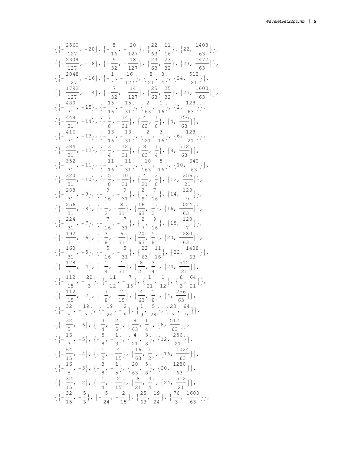$$
\{ \{-\frac{2560}{127}, -20\}, \{-\frac{5}{16}, -\frac{20}{127}\}, \{\frac{22}{63}, \frac{11}{16}\}, \{22, \frac{1408}{63}\} \}, \{ \{-\frac{230}{127}, -18\}, \{-\frac{9}{32}, -\frac{18}{127}\}, \{-\frac{23}{63}, \frac{23}{32}\}, \{23, \frac{1472}{63}\} \}, \{ \{-\frac{2048}{127}, -16\}, \{-\frac{1}{4}, -\frac{16}{127}\}, \{\frac{8}{21}, \frac{3}{4}\}, \{24, \frac{512}{21}\} \}, \{ \{-\frac{192}{127}, -14\}, \{-\frac{7}{32}, -\frac{14}{127}\}, \{-\frac{25}{12}, \frac{25}{43}, \frac{25}{32}\}, \{25, \frac{1600}{63}\} \}, \{ \{-\frac{480}{31}, -15\}, \{-\frac{15}{16}, -\frac{15}{31}\}, \{-\frac{2}{33}, \frac{1}{16}\}, \{2, \frac{128}{63}\} \}, \{ \{-\frac{446}{31}, -14\}, \{-\frac{7}{8}, -\frac{14}{31}\}, \{-\frac{2}{63}, \frac{1}{16}\}, \{6, \frac{218}{63}\} \}, \{ \{-\frac{416}{31}, -13\}, \{-\frac{13}{16}, -\frac{13}{31}\}, \{-\frac{2}{63}, \frac{3}{16}\}, \{6, \frac{218}{21}\} \}, \{ \{-\frac{344}{31}, -12\}, \{-\frac{3}{4}, -\frac{12}{31}\}, \{-\frac{3}{63}, \frac{1}{4}\}, \{8, \frac{512}{63}\} \}, \{ \{-\frac{382}{31}, -11\}, \{-\frac{1}{16}, -\frac{11}{31}\}, \{-\frac{10}{21}, \frac{5}{16}\}, \{10, \frac{640}{63}\} \}, \{ \{-\frac{286}{31}, -10\}, \{-\frac{5}{8}, -\frac{10}{31}\}, \{-\frac{4}{2
$$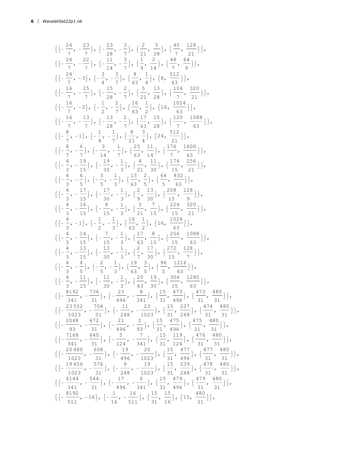$\{\left\{-\frac{24}{7},-\frac{23}{7}\right\},\left\{-\frac{23}{28},-\frac{3}{7}\right\},\left\{\frac{2}{21},\frac{5}{28}\right\},\left\{\frac{40}{7},\frac{128}{21}\right\}\right\},$  $\left\{\left\{-\frac{24}{7},-\frac{22}{7}\right\},\left\{-\frac{11}{14},-\frac{3}{7}\right\},\left\{\frac{1}{9},\frac{3}{14}\right\},\left\{\frac{48}{7},\frac{64}{9}\right\}\right\}$  $\{(-\frac{24}{7}, -3), \{-\frac{3}{7}, -\frac{3}{7}\}, \{\frac{8}{60}, \frac{1}{4}\}, \{8, \frac{512}{60}\}\}\,$  $\left\{\left\{-\frac{16}{7},-\frac{15}{7}\right\},\left\{-\frac{15}{28},-\frac{2}{7}\right\},\left\{\frac{5}{21},\frac{13}{28}\right\},\left\{\frac{104}{7},\frac{320}{21}\right\}\right\},$  $\left\{\left\{-\frac{16}{7}, -2\right\}, \left\{-\frac{1}{2}, -\frac{2}{7}\right\}, \left\{\frac{16}{12}, \frac{1}{2}\right\}, \left\{16, \frac{1024}{12}\right\}\right\},$  $\{\left\{-\frac{16}{7}, -\frac{13}{7}\right\}, \left\{-\frac{13}{28}, -\frac{2}{7}\right\}, \left\{\frac{17}{63}, \frac{15}{28}\right\}, \left\{\frac{120}{7}, \frac{1088}{63}\right\}\right\}$  $\left\{\left\{-\frac{8}{7},-1\right\},\left\{-\frac{1}{4},-\frac{1}{7}\right\},\left\{\frac{8}{21},\frac{3}{4}\right\},\left\{24,\frac{512}{21}\right\}\right\}$  $\{\left\{-\frac{8}{7}, -\frac{6}{7}\right\}, \left\{-\frac{3}{14}, -\frac{1}{7}\right\}, \left\{\frac{25}{3}, \frac{11}{14}\right\}, \left\{\frac{176}{7}, \frac{1600}{3}\right\}\right\}$  $\left\{\left\{-\frac{4}{3},-\frac{19}{15}\right\},\left\{-\frac{19}{30},-\frac{1}{3}\right\},\left\{\frac{4}{21},\frac{11}{30}\right\},\left\{\frac{176}{15},\frac{256}{21}\right\}\right\},$  $\left\{\left\{-\frac{4}{2},-\frac{6}{5}\right\},\left\{-\frac{3}{5},-\frac{1}{2}\right\},\left\{\frac{13}{52},\frac{2}{5}\right\},\left\{\frac{64}{5},\frac{832}{53}\right\}\right\},$  $\{\left\{-\frac{4}{3},-\frac{17}{15}\right\},\left\{-\frac{17}{30},-\frac{1}{3}\right\},\left\{\frac{2}{9},\frac{13}{30}\right\},\left\{\frac{208}{15},\frac{128}{9}\right\}\},$  $\{\{-\frac{4}{2}, -\frac{16}{15}\}, \{-\frac{8}{15}, -\frac{1}{3}\}, \{\frac{5}{21}, \frac{7}{15}\}, \{\frac{224}{15}, \frac{320}{21}\}\},$  $\left\{\left\{-\frac{4}{2},-1\right\}, \left\{-\frac{1}{2},-\frac{1}{2}\right\}, \left\{\frac{16}{3},\frac{1}{2}\right\}, \left\{16, \frac{1024}{33}\right\}\right\}$  $\left\{\left\{-\frac{4}{3},-\frac{14}{15}\right\},\left\{-\frac{7}{15},-\frac{1}{3}\right\},\left\{\frac{17}{63},\frac{8}{15}\right\},\left\{\frac{256}{15},\frac{1088}{63}\right\}\right\}$  $\left\{\left\{-\frac{4}{3},-\frac{13}{15}\right\},\left\{-\frac{13}{30},-\frac{1}{3}\right\},\left\{\frac{2}{7},\frac{17}{30}\right\},\left\{\frac{272}{15},\frac{128}{7}\right\}\right\},$  $\left\{\left\{-\frac{4}{3},-\frac{4}{5}\right\},\left\{-\frac{2}{5},-\frac{1}{3}\right\},\left\{\frac{19}{63},\frac{3}{5}\right\},\left\{\frac{96}{5},\frac{1216}{63}\right\}\right\},$  $\left\{\left\{-\frac{4}{3},-\frac{11}{15}\right\},\left\{-\frac{11}{30},-\frac{1}{3}\right\},\left\{\frac{20}{63},\frac{19}{30}\right\},\left\{\frac{304}{15},\frac{1280}{63}\right\}\right\},$  $\{\left\{-\frac{8192}{341}, -\frac{736}{31}\right\}, \left\{-\frac{23}{496}, -\frac{8}{341}\right\}, \left\{\frac{15}{31}, \frac{473}{496}\right\}, \left\{\frac{473}{31}, \frac{480}{31}\right\}\right\},$  $\{\left\{-\frac{23552}{1023}, -\frac{704}{31}\right\}, \left\{-\frac{11}{248}, -\frac{23}{1023}\right\}, \left\{\frac{15}{31}, \frac{237}{248}\right\}, \left\{\frac{474}{31}, \frac{480}{31}\right\}\right\},$  $\{\left\{-\frac{2048}{93}, -\frac{672}{31}\right\}, \left\{-\frac{21}{496}, -\frac{2}{93}\right\}, \left\{\frac{15}{31}, \frac{475}{496}\right\}, \left\{\frac{475}{31}, \frac{480}{31}\right\}\right\},$  $\{\left\{-\frac{7168}{341}, -\frac{640}{31}\right\}, \left\{-\frac{5}{124}, -\frac{7}{341}\right\}, \left\{\frac{15}{31}, \frac{119}{124}\right\}, \left\{\frac{476}{31}, \frac{480}{31}\right\}\right\},$  $\left\{\left\{-\frac{20480}{1023}, -\frac{608}{31}\right\}, \left\{-\frac{19}{496}, -\frac{20}{1023}\right\}, \left\{\frac{15}{31}, \frac{477}{496}\right\}, \left\{\frac{477}{31}, \frac{480}{31}\right\}\right\},$  $\left\{\left\{-\frac{19456}{1023}, -\frac{576}{31}\right\}, \left\{-\frac{9}{248}, -\frac{19}{1023}\right\}, \left\{\frac{15}{31}, \frac{239}{248}\right\}, \left\{\frac{478}{31}, \frac{480}{31}\right\}\right\},$  $\{\left\{-\frac{6144}{341}, -\frac{544}{31}\right\}, \left\{-\frac{17}{496}, -\frac{6}{341}\right\}, \left\{\frac{15}{31}, \frac{479}{496}\right\}, \left\{\frac{479}{31}, \frac{480}{31}\right\}\right\},$  $\left\{\left\{-\frac{8192}{511}, -16\right\}, \left\{-\frac{1}{16}, -\frac{16}{511}\right\}, \left\{\frac{15}{31}, \frac{15}{16}\right\}, \left\{15, \frac{480}{31}\right\}\right\},$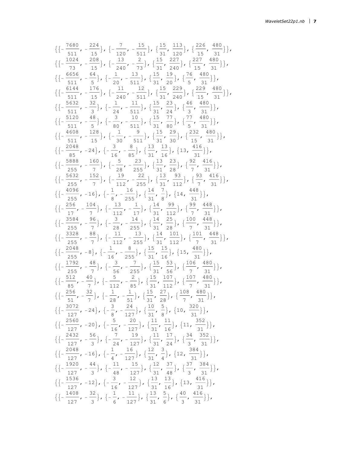$$
\{ \{ -\frac{7680}{511}, -\frac{224}{15} \}, \{ -\frac{7}{120}, -\frac{15}{511} \}, \{ \frac{13}{31}, \frac{113}{20} \}, \{ \frac{226}{15}, \frac{480}{31} \} \}, \{ \{ -\frac{1024}{73}, -\frac{208}{51} \}, \{ -\frac{13}{240}, -\frac{13}{73} \}, \{ \frac{15}{31}, \frac{227}{240} \}, \{ \frac{227}{15}, \frac{480}{31} \} \}, \{ \{ -\frac{6656}{111}, -\frac{64}{51}, \{ -\frac{11}{240}, -\frac{11}{511} \}, \{ \frac{15}{31}, \frac{29}{240} \}, \{ \frac{76}{5}, \frac{480}{31} \} \}, \{ \{ -\frac{6144}{511}, -\frac{176}{15} \}, \{ -\frac{11}{240}, -\frac{11}{511} \}, \{ \frac{15}{31}, \frac{23}{240} \}, \{ \frac{46}{15}, \frac{480}{31} \} \}, \{ \{ -\frac{5120}{511}, -\frac{48}{51}, \{ -\frac{11}{240}, -\frac{11}{511} \}, \{ \frac{15}{31}, \frac{23}{24} \}, \{ \frac{46}{5}, \frac{480}{31} \} \}, \{ \{ -\frac{1280}{511}, -\frac{48}{510}, -\frac{10}{511} \}, \{ \frac{15}{31}, \frac{23}{50} \}, \{ \frac{227}{5}, \frac{480}{31} \} \}, \{ \{ -\frac{2048}{85}, -24 \}, \{ -\frac{1}{30}, -\frac{9}{511} \}, \{ \frac{15}{31}, \frac{23}{50} \}, \{ \frac{232}{15}, \frac{480}{31} \} \}, \{ \{ -\frac{2048}{55}, -\frac{128}{15}, \{ -\frac{1}{30}, -\frac{8}{511} \}, \{ \frac{13}{31}, \frac{23}{30
$$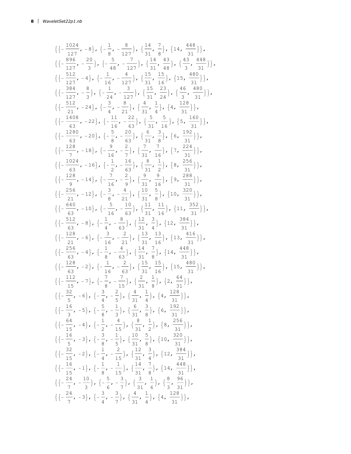$$
\{ \{-\frac{1024}{127}, -8\}, \{-\frac{1}{8}, -\frac{8}{127}\}, \{\frac{14}{31}, \frac{7}{8}\}, \{14, \frac{448}{31}\} \},
$$
\n
$$
\{ \{-\frac{896}{127}, -\frac{20}{3}\}, \{-\frac{5}{48}, -\frac{7}{127}\}, \{\frac{14}{31}, \frac{43}{48}\}, \{\frac{43}{3}, \frac{448}{31}\} \},
$$
\n
$$
\{ \{-\frac{512}{127}, -4\}, \{-\frac{1}{16}, -\frac{4}{127}\}, \{\frac{15}{31}, \frac{15}{16}\}, \{15, \frac{480}{31}\} \},
$$
\n
$$
\{ \{-\frac{312}{127}, -\frac{8}{3}\}, \{-\frac{1}{24}, -\frac{3}{127}\}, \{\frac{15}{31}, \frac{15}{16}\}, \{15, \frac{480}{31}\} \},
$$
\n
$$
\{ \{-\frac{512}{21}, -24\}, \{-\frac{3}{21}, \{-\frac{3}{27}\}, \{-\frac{1}{31}, \frac{1}{24}\}, \{-\frac{128}{31}\}, \{-\frac{128}{31}\} \},
$$
\n
$$
\{ \{-\frac{512}{63}, -22\}, \{-\frac{1}{16}, -\frac{22}{63}\}, \{-\frac{5}{31}, \frac{5}{16}\}, \{-5, \frac{160}{32}\} \},
$$
\n
$$
\{ \{-\frac{128}{63}, -18\}, \{-\frac{5}{16}, -\frac{20}{63}\}, \{-\frac{7}{31}, \frac{7}{16}\}, \{-7, \frac{224}{31}\} \},
$$
\n
$$
\{ \{-\frac{1024}{63}, -18\}, \{-\frac{9}{16}, -\frac{2}{2}\}, \{-\frac{7}{31}, \frac{7}{16}\}, \{-9, \frac{288}{31}\} \},
$$
\n
$$
\{ \{-\frac{128}{9}, -14\}, \{-\frac{7}{16}, -\frac{2}{9}\}, \{-\frac{9}{31}, \{-
$$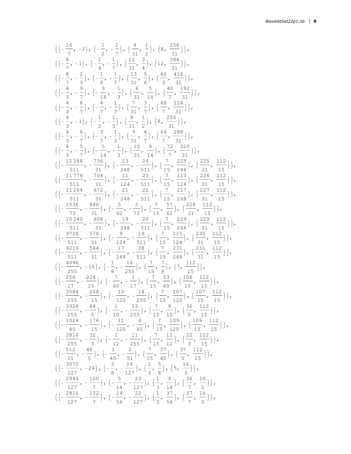$$
\{[-\frac{16}{7}, -2], \{-\frac{1}{2}, -\frac{2}{7}\}, \{\frac{8}{31}, \frac{1}{2}\}, \{8, \frac{256}{31}\}\},\
$$

$$
\{[-\frac{8}{7}, -1], \{-\frac{1}{4}, -\frac{1}{7}\}, \{\frac{12}{31}, \frac{3}{4}\}, \{12, \frac{384}{31}\}\},\
$$

$$
\{[-\frac{8}{7}, -\frac{2}{3}], \{-\frac{1}{6}, -\frac{1}{7}\}, \{\frac{13}{31}, \frac{5}{6}\}, \{\frac{40}{3}, \frac{416}{31}\}\},\
$$

$$
\{[-\frac{4}{3}, -\frac{9}{7}], \{-\frac{9}{14}, -\frac{1}{3}\}, \{\frac{6}{31}, \frac{5}{14}\}, \{\frac{40}{7}, \frac{132}{31}\}\},\
$$

$$
\{[-\frac{4}{3}, -\frac{8}{7}], \{-\frac{4}{7}, -\frac{1}{3}\}, \{\frac{7}{31}, \frac{3}{7}\}, \{\frac{48}{31}, \frac{224}{31}\}\},\
$$

$$
\{[-\frac{4}{3}, -\frac{5}{7}], \{-\frac{3}{7}, -\frac{3}{3}\}, \{\frac{9}{31}, \frac{4}{7}\}, \{\frac{64}{7}, \frac{286}{31}\}\},\
$$

$$
\{[-\frac{4}{3}, -\frac{5}{7}], \{-\frac{5}{14}, -\frac{1}{3}\}, \{\frac{9}{31}, \frac{4}{7}\}, \{\frac{64}{7}, \frac{288}{31}\}\},\
$$

$$
\{[-\frac{12288}{511}, -\frac{736}{31}], \{-\frac{23}{24}, -\frac{21}{31}\}, \{\frac{10}{31}, \frac{9}{14}\}, \{\frac{72}{7}, \frac{320}{31}\}\},\
$$

$$
\{[-\frac{11264}{511}, -\frac{704}{31}], \{-\frac{23}{24}, -\frac{24}{511}\}, \{\frac{7}{15}, \frac{225}{24}, \frac{122}{15}\},\
$$

$$
\{[-\frac{11264}{5
$$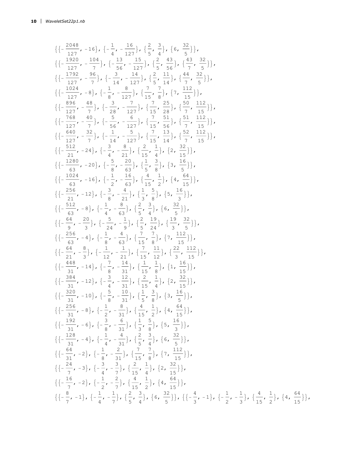$$
\{\begin{array}{l} \{ \frac{2048}{127}, -16 \} , \{-\frac{1}{4}, -\frac{16}{127} \} , \{\frac{2}{5}, \frac{3}{4} \} , \{6, \frac{32}{5} \} \} , \\ \\ \{ \frac{127}{122}, -\frac{104}{7} \} , \{-\frac{13}{56}, -\frac{13}{127} \} , \{\frac{2}{5}, \frac{43}{56} \} , \{\frac{43}{4}, \frac{32}{5}} \} , \\ \\ \{ \frac{1}{127}, -\frac{98}{7} \} , \{-\frac{14}{3}, -\frac{14}{127} \} , \{\frac{2}{5}, \frac{41}{54} \} , \{\frac{44}{7}, \frac{32}{5} \} \} , \\ \\ \{ \frac{1024}{127}, -8 \} , \{-\frac{4}{3}, -\frac{14}{127} \} , \{-\frac{7}{15}, \frac{7}{6} \} , \{-\frac{112}{15} \} , \\ \\ \{ \frac{128}{127}, -\frac{40}{7} \} , \{-\frac{3}{5}, -\frac{7}{127} \} , \{\frac{7}{15}, \frac{7}{25} \} , \{\frac{5}{15}, \frac{112}{15} \} , \\ \\ \{ \frac{127}{127}, -\frac{7}{7} \} , \{-\frac{1}{56}, -\frac{6}{127} \} , \{\frac{7}{15}, \frac{52}{56} \} , \{\frac{51}{7}, \frac{112}{15} \} , \\ \\ \{ \frac{128}{127}, -\frac{24}{7} \} , \{-\frac{1}{8}, -\frac{6}{217} \} , \{\frac{7}{15}, \frac{53}{56} \} , \{\frac{51}{7}, \frac{112}{15} \} , \\ \\ \{ \frac{1280}{121}, -24 \} , \{-\frac{3}{8}, -\frac{2}{21} \} , \{\frac{7}{15}, \frac{51}{15} \} , \{2, \frac{22}{15} \} , \\ \\ \{ \{\frac{1280}{63}, -20 \} , \{-\frac{5}{8}, -\frac{2}{23} \} , \{-\frac{1}{8}, -\frac{
$$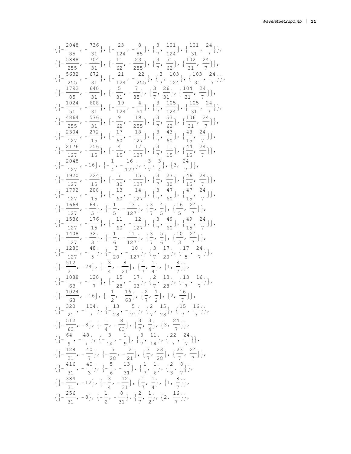$$
\{(-\frac{2048}{85}, -\frac{736}{31}), (-\frac{33}{124}, -\frac{8}{55}), (-\frac{3}{7}, \frac{101}{124}), (-\frac{101}{31}, -\frac{24}{7})\},\newline
$$
  

$$
\{(-\frac{5638}{255}, -\frac{704}{31}), (-\frac{11}{62}, -\frac{23}{255}), (-\frac{3}{7}, \frac{51}{62}), (-\frac{102}{31}, -\frac{24}{7})\},\newline
$$
  

$$
\{(-\frac{5632}{255}, -\frac{672}{31}), (-\frac{11}{24}, -\frac{22}{255}), (-\frac{3}{7}, \frac{103}{124}), (-\frac{102}{31}, -\frac{24}{7})\},\newline
$$
  

$$
\{(-\frac{1792}{85}, -\frac{640}{31}), (-\frac{5}{31}, -\frac{7}{65}), (-\frac{3}{7}, \frac{26}{31}), (-\frac{105}{31}, -\frac{24}{7})\},\newline
$$
  

$$
\{(-\frac{1024}{85}, -\frac{600}{31}), (-\frac{19}{124}, -\frac{4}{51}), (-\frac{3}{7}, \frac{105}{124}), (-\frac{105}{31}, -\frac{24}{7})\},\newline
$$
  

$$
\{(-\frac{4864}{255}, -\frac{57}{31}), (-\frac{9}{12}, -\frac{19}{255}), (-\frac{3}{7}, \frac{53}{62}), (-\frac{105}{31}, -\frac{74}{7})\},\newline
$$
  

$$
\{(-\frac{2176}{127}, -\frac{256}{15}), (-\frac{4}{15}, -\frac{17}{127}), (-\frac{3}{7}, \frac{43}{62}), (-\frac{43}{35}, \frac{24}{7})\},\newline
$$
  

$$
\{(-\frac{1192}{127}, -\frac{224}{15}), (-\frac{1}{30}, -\frac{12}{127}), (-\frac{3}{7}, \frac{41}{35}), (-\frac{44}{35}, \frac{24}{7})\},\newline
$$
<